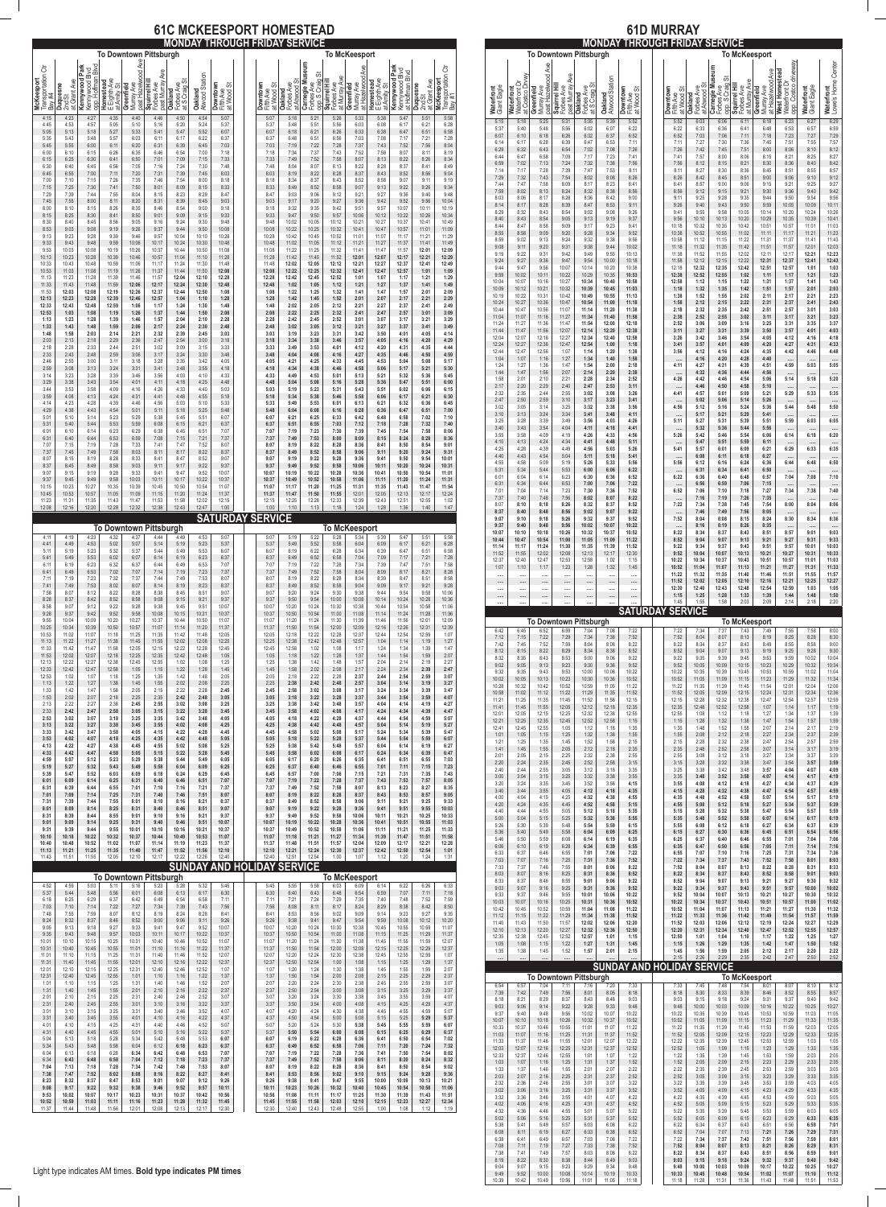# **61C MCKEESPORT HOMESTEAD**

Ξ

| <b>To Downtown Pittsburgh</b>                                                                                                                                                                                                                                                                                                                                                                                                                                                                                                                                                                                                                                                                                                                                                                                                                                                                                                                                                                                                                                                                                                                                                                                                                                                                                                                                                                                                                                                                                                                                                                                                                                                                                                                                                                                                                                                                                                                                                                                                                                                                                                                                                                                                                                                                                                                                                                                                                                                                                                                                                                                                                                                                                                                                                                                                                                                                                                                                                                                                                                                                                                                                                                                                                                                                                                                                                                                                                                                                                                                                                                                                                                                                                                                                                                                                                                                                                                                                                                                                                                                                                                                                                                                                                                                                                                                                                                  | <u> MONDAY THROUGH FRIDAY SERVICE</u><br><b>To McKeesport</b>                                                                                                                                                                                                                                                                                                                                                                                                                                                                                                                                                                                                                                                                                                                                                                                                                                                                                                                                                                                                                                                                                                                                                                                                                                                                                                                                                                                                                                                                                                                                                                                                                                                                                                                                                                                                                                                                                                                                                                                                                                                                                                                                                                                                                                                                                                                                                                                                                                                                                                                                                                                                                                                                                                                                                                                                                                                                                                                                                                                                                                                                                                                                                                                                                                                                                                                                                                                                                                                                                                                                                                                                                                                                                                                                                                                                                                                                                                                                                                                                                                                                                                                                                                                                                                                                                                                                                                        | <b>To Downtown Pittsburgh</b>                                                                                                                                                                                                                                                                                                                                                                                                                                                                                                                                                                                                                                                                                                                                                                                                                                                                                                                                                                                                                                                                                                                                                                                                                                                                                                                                                                                                                                                                                                                                                                                                                                                                                                                                                                                                                                                                                                                                                                                                                                                                                                                                                                                                                                                                                                                                                                                                                                                                                                                                                                                                                                                                                                                                                                                                                                                                                                                                                                                                                                                                                                                                                                                                                                                                                                                                                                                                                                     | MONDAY THROUGH FRIDAY <u>SERVICE</u><br><b>To McKeesport</b>                                                                                                                                                                                                                                                                                                                                                                                                                                                                                                                                                                                                                                                                                                                                                                                                                                                                                                                                                                                                                                                                                                                                                                                                                                                                                                                                                                                                                                                                                                                                                                                                                                                                                                                                                                                                                                                                                                                                                                                                                                                                                                                                                                                                                                                                                                                                                                                                                                                                                                                                                                                                                                                                                                                                                                                                                                                                                                                                                                                                                                                                                                                                                                                                                                                                                                                                                                                                                                                                                                                                                                                                                                                                                                                                                                                                                                                                                                                             |
|------------------------------------------------------------------------------------------------------------------------------------------------------------------------------------------------------------------------------------------------------------------------------------------------------------------------------------------------------------------------------------------------------------------------------------------------------------------------------------------------------------------------------------------------------------------------------------------------------------------------------------------------------------------------------------------------------------------------------------------------------------------------------------------------------------------------------------------------------------------------------------------------------------------------------------------------------------------------------------------------------------------------------------------------------------------------------------------------------------------------------------------------------------------------------------------------------------------------------------------------------------------------------------------------------------------------------------------------------------------------------------------------------------------------------------------------------------------------------------------------------------------------------------------------------------------------------------------------------------------------------------------------------------------------------------------------------------------------------------------------------------------------------------------------------------------------------------------------------------------------------------------------------------------------------------------------------------------------------------------------------------------------------------------------------------------------------------------------------------------------------------------------------------------------------------------------------------------------------------------------------------------------------------------------------------------------------------------------------------------------------------------------------------------------------------------------------------------------------------------------------------------------------------------------------------------------------------------------------------------------------------------------------------------------------------------------------------------------------------------------------------------------------------------------------------------------------------------------------------------------------------------------------------------------------------------------------------------------------------------------------------------------------------------------------------------------------------------------------------------------------------------------------------------------------------------------------------------------------------------------------------------------------------------------------------------------------------------------------------------------------------------------------------------------------------------------------------------------------------------------------------------------------------------------------------------------------------------------------------------------------------------------------------------------------------------------------------------------------------------------------------------------------------------------------------------------------------------------------------------------------------------------------------------------------------------------------------------------------------------------------------------------------------------------------------------------------------------------------------------------------------------------------------------------------------------------------------------------------------------------------------------------------------------------------------------------------------------------------------------------------------------------|--------------------------------------------------------------------------------------------------------------------------------------------------------------------------------------------------------------------------------------------------------------------------------------------------------------------------------------------------------------------------------------------------------------------------------------------------------------------------------------------------------------------------------------------------------------------------------------------------------------------------------------------------------------------------------------------------------------------------------------------------------------------------------------------------------------------------------------------------------------------------------------------------------------------------------------------------------------------------------------------------------------------------------------------------------------------------------------------------------------------------------------------------------------------------------------------------------------------------------------------------------------------------------------------------------------------------------------------------------------------------------------------------------------------------------------------------------------------------------------------------------------------------------------------------------------------------------------------------------------------------------------------------------------------------------------------------------------------------------------------------------------------------------------------------------------------------------------------------------------------------------------------------------------------------------------------------------------------------------------------------------------------------------------------------------------------------------------------------------------------------------------------------------------------------------------------------------------------------------------------------------------------------------------------------------------------------------------------------------------------------------------------------------------------------------------------------------------------------------------------------------------------------------------------------------------------------------------------------------------------------------------------------------------------------------------------------------------------------------------------------------------------------------------------------------------------------------------------------------------------------------------------------------------------------------------------------------------------------------------------------------------------------------------------------------------------------------------------------------------------------------------------------------------------------------------------------------------------------------------------------------------------------------------------------------------------------------------------------------------------------------------------------------------------------------------------------------------------------------------------------------------------------------------------------------------------------------------------------------------------------------------------------------------------------------------------------------------------------------------------------------------------------------------------------------------------------------------------------------------------------------------------------------------------------------------------------------------------------------------------------------------------------------------------------------------------------------------------------------------------------------------------------------------------------------------------------------------------------------------------------------------------------------------------------------------------------------------------------------------------------------------------------------------------------------------|-------------------------------------------------------------------------------------------------------------------------------------------------------------------------------------------------------------------------------------------------------------------------------------------------------------------------------------------------------------------------------------------------------------------------------------------------------------------------------------------------------------------------------------------------------------------------------------------------------------------------------------------------------------------------------------------------------------------------------------------------------------------------------------------------------------------------------------------------------------------------------------------------------------------------------------------------------------------------------------------------------------------------------------------------------------------------------------------------------------------------------------------------------------------------------------------------------------------------------------------------------------------------------------------------------------------------------------------------------------------------------------------------------------------------------------------------------------------------------------------------------------------------------------------------------------------------------------------------------------------------------------------------------------------------------------------------------------------------------------------------------------------------------------------------------------------------------------------------------------------------------------------------------------------------------------------------------------------------------------------------------------------------------------------------------------------------------------------------------------------------------------------------------------------------------------------------------------------------------------------------------------------------------------------------------------------------------------------------------------------------------------------------------------------------------------------------------------------------------------------------------------------------------------------------------------------------------------------------------------------------------------------------------------------------------------------------------------------------------------------------------------------------------------------------------------------------------------------------------------------------------------------------------------------------------------------------------------------------------------------------------------------------------------------------------------------------------------------------------------------------------------------------------------------------------------------------------------------------------------------------------------------------------------------------------------------------------------------------------------------------------------------------------------------------------------------------------------------|------------------------------------------------------------------------------------------------------------------------------------------------------------------------------------------------------------------------------------------------------------------------------------------------------------------------------------------------------------------------------------------------------------------------------------------------------------------------------------------------------------------------------------------------------------------------------------------------------------------------------------------------------------------------------------------------------------------------------------------------------------------------------------------------------------------------------------------------------------------------------------------------------------------------------------------------------------------------------------------------------------------------------------------------------------------------------------------------------------------------------------------------------------------------------------------------------------------------------------------------------------------------------------------------------------------------------------------------------------------------------------------------------------------------------------------------------------------------------------------------------------------------------------------------------------------------------------------------------------------------------------------------------------------------------------------------------------------------------------------------------------------------------------------------------------------------------------------------------------------------------------------------------------------------------------------------------------------------------------------------------------------------------------------------------------------------------------------------------------------------------------------------------------------------------------------------------------------------------------------------------------------------------------------------------------------------------------------------------------------------------------------------------------------------------------------------------------------------------------------------------------------------------------------------------------------------------------------------------------------------------------------------------------------------------------------------------------------------------------------------------------------------------------------------------------------------------------------------------------------------------------------------------------------------------------------------------------------------------------------------------------------------------------------------------------------------------------------------------------------------------------------------------------------------------------------------------------------------------------------------------------------------------------------------------------------------------------------------------------------------------------------------------------------------------------------------------------------------------------------------------------------------------------------------------------------------------------------------------------------------------------------------------------------------------------------------------------------------------------------------------------------------------------------------------------------------------------------------------------------------------------------------------------------------------------------------------------------------------------------|
| ់ប៊<br>Park<br>Oakland<br>Atwood Station<br><b>IcKeesport</b><br>ransportation (<br>ood<br>ອ $\stackrel{\mathbb{B}}{\prec} \stackrel{\mathbb{C}}{'}$<br>Squirrel Hill<br>Forbes Ave<br>past Murray A<br>g<br>Homestead<br>E Eighth Ave<br>at Amity St<br>Ave<br>urray<br>Downtown<br>Fifth Ave<br>at Wood St<br><b>Greenfield</b><br>Murray Ave<br>past Hazelw<br><b>Oakland</b><br>Forbes Ay<br>at S Craic<br><b>Kennyw<br/>Kennyw</b><br>opp. Hoj<br>$\frac{1}{2}$ and $\frac{1}{2}$<br>i ≅ ⊫ മ്                                                                                                                                                                                                                                                                                                                                                                                                                                                                                                                                                                                                                                                                                                                                                                                                                                                                                                                                                                                                                                                                                                                                                                                                                                                                                                                                                                                                                                                                                                                                                                                                                                                                                                                                                                                                                                                                                                                                                                                                                                                                                                                                                                                                                                                                                                                                                                                                                                                                                                                                                                                                                                                                                                                                                                                                                                                                                                                                                                                                                                                                                                                                                                                                                                                                                                                                                                                                                                                                                                                                                                                                                                                                                                                                                                                                                                                                                             | useum<br>Park<br>đ<br>डे ब्र<br>יייראeesport<br>Transportation (<br>Bay #1<br>뤂<br>Carnegie Mu<br>Forbes Ave<br>opp. S Craig<br>Homestead<br>E Eighth Ave<br>yood<br>हे <i>ं</i> इंद्र हैं<br>$rac{6}{5}$<br>ळ<br>Squirrel<br><b>Oakland</b><br>Forbes Av<br>at Atwood<br><b>Kennyv</b><br>Kennyw<br>at Hoffm<br>Greenfi<br>Murray<br>at Haze<br><b>Duques</b><br>2nd St<br>at Gran<br>ত ৷                                                                                                                                                                                                                                                                                                                                                                                                                                                                                                                                                                                                                                                                                                                                                                                                                                                                                                                                                                                                                                                                                                                                                                                                                                                                                                                                                                                                                                                                                                                                                                                                                                                                                                                                                                                                                                                                                                                                                                                                                                                                                                                                                                                                                                                                                                                                                                                                                                                                                                                                                                                                                                                                                                                                                                                                                                                                                                                                                                                                                                                                                                                                                                                                                                                                                                                                                                                                                                                                                                                                                                                                                                                                                                                                                                                                                                                                                                                                                                                                                                           | Oakland<br>Atwood Station<br>ځ<br>≣<br>ల్ల ద<br><b>laterfront</b><br>iant Eagle<br>宿<br>▭<br>Downtown<br>Fifth Ave<br>at Wood St<br>infield<br>Waterfront<br>/aterfront I<br>t Costco L<br>ray A.<br>Hazely<br>Hazely<br>pi.<br>Bi<br><b>Tel</b><br>Oaklan<br>Gree<br>≘ഗ<br>౾⊙<br>ಕ                                                                                                                                                                                                                                                                                                                                                                                                                                                                                                                                                                                                                                                                                                                                                                                                                                                                                                                                                                                                                                                                                                                                                                                                                                                                                                                                                                                                                                                                                                                                                                                                                                                                                                                                                                                                                                                                                                                                                                                                                                                                                                                                                                                                                                                                                                                                                                                                                                                                                                                                                                                                                                                                                                                                                                                                                                                                                                                                                                                                                                                                                                                                                                               | Center<br>Museum<br><b>MeVi</b><br>tead<br>Waterfront<br>Lowe's Home (<br>응토<br>≏<br>₹<br>Eagle<br>Ψ<br>Φ<br>ደ<br>bowntown<br>Fifth Ave<br>ळ<br>ᅙ<br>egie<br>nfiel<br><b>Oakland</b><br>Forbes Ay<br>th Ave<br>Wood<br><u>e</u><br>Atwo<br>89<br>orbes<br>op. S<br>zez<br>Haz<br>Giant<br>$\frac{1}{\sqrt{2}}$<br>West<br>Wateı<br>ree<br>. ਲ<br> 모또 위<br>ᄫ<br>তী ই ঋ<br>ੱਕ।<br>⊐ں                                                                                                                                                                                                                                                                                                                                                                                                                                                                                                                                                                                                                                                                                                                                                                                                                                                                                                                                                                                                                                                                                                                                                                                                                                                                                                                                                                                                                                                                                                                                                                                                                                                                                                                                                                                                                                                                                                                                                                                                                                                                                                                                                                                                                                                                                                                                                                                                                                                                                                                                                                                                                                                                                                                                                                                                                                                                                                                                                                                                                                                                                                                                                                                                                                                                                                                                                                                                                                                                                                                                                                                                       |
| 4:23<br>4:27<br>4:35<br>4:15<br>4:40<br>4:46<br>4:50<br>4:54<br>5:07<br>4:53<br>4:57<br>5:05<br>5:37<br>4:45<br>5:10<br>5:16<br>5:20<br>5:24<br>5:05<br>5:13<br>5:27<br>5:33<br>5:52<br>6:07<br>5:18<br>5:41<br>5:47<br>5:35<br>5:43<br>5:48<br>5:57<br>6:03<br>6:22<br>6:37<br>6:11<br>6:17<br>5:45<br>5:55<br>6:39<br>7:03<br>6:00<br>6:11<br>6:20<br>6:31<br>6:45<br>6:00<br>6:10<br>6:15<br>6:26<br>6:35<br>6:46<br>6:54<br>7:00<br>7:18<br>6:25<br>6:30<br>6:50<br>7:01<br>7:09<br>7:15<br>7:33<br>6:15<br>6:41<br>7:30<br>6:40<br>6:45<br>6:56<br>7:05<br>7:16<br>7:24<br>7:48<br>6:30<br>6:55<br>7:00<br>7:11<br>7:20<br>7:31<br>7:39<br>6:45<br>7:45<br>8:03<br>7:26<br>7:35<br>7:00<br>7:10<br>7:15<br>7:46<br>7:54<br>8:00<br>8:18<br>7:25<br>7:30<br>7:15<br>7:41<br>7:50<br>8:01<br>8:09<br>8:15<br>8:33<br>7:39<br>7:29<br>7:44<br>7:55<br>8:04<br>8:23<br>8:29<br>8:47<br>8:15<br>7:45<br>7:55<br>8:00<br>8:11<br>8:20<br>8:31<br>8:39<br>8:45<br>9:03<br>8:10<br>8:26<br>8:35<br>8:54<br>8:00<br>8:15<br>8:46<br>9:00<br>9:18<br>8:15<br>8:25<br>8:30<br>8:41<br>8:50<br>9:01<br>9:09<br>9:15<br>9:33<br>9:30<br>8:30<br>8:40<br>8:45<br>8:56<br>9:05<br>9:16<br>9:24<br>9:48<br>8:53<br>9:03<br>9:08<br>9:19<br>9:26<br>9:37<br>9:44<br>9:50<br>10:08<br>9:23<br>9:28<br>9:39<br>10:04<br>10:10<br>10:28<br>9:13<br>9:46<br>9:57<br>10:24<br>10:30<br>9:33<br>9:43<br>9:48<br>9:59<br>10:06<br>10:17<br>10:48<br>10:03<br>10:08<br>10:19<br>10:26<br>10:37<br>10:44<br>10:50<br>11:08<br>9:53<br>10:13<br>10:23<br>10:28<br>10:39<br>10:46<br>10:57<br>11:04<br>11:10<br>11:28<br>10:43<br>10:48<br>10:59<br>11:24<br>11:30<br>10:33<br>11:06<br>11:17<br>11:48<br>11:26<br>11:50<br>11:03<br>11:08<br>11:19<br>11:37<br>11:44<br>12:08<br>10:53<br>11:23<br>11:28<br>11:39<br>11:57<br>12:04<br>12:10<br>12:28<br>11:13<br>11:46<br>11:43<br>11:48<br>11:59<br>12:06<br>12:17<br>12:24<br>12:30<br>12:48<br>11:33<br>12:37<br>12:44<br>12:50<br>11:53<br>12:03<br>12:08<br>12:19<br>12:26<br>1:08<br>12:28<br>12:39<br>12:46<br>12:57<br>1:04<br>1:10<br>1:28<br>12:13<br>12:23<br>12:43<br>12:48<br>12:59<br>1:06<br>1:24<br>1:30<br>1:48<br>12:33<br>1:17<br>1:03<br>1:08<br>1:37<br>1:44<br>1:50<br>2:08<br>12:53<br>1:19<br>1:26<br>1:23<br>1:28<br>1:39<br>1:46<br>1:57<br>2:04<br>2:10<br>2:28<br>1:13<br>1:59<br>2:06<br>2:17<br>2:24<br>2:30<br>1:33<br>1:43<br>1:48<br>2:48<br>1:58<br>2:03<br>2:32<br>2:39<br>2:45<br>3:03<br>1:48<br>2:14<br>2:21<br>2:13<br>2:18<br>2:29<br>2:36<br>2:54<br>3:00<br>2:03<br>2:47<br>3:18<br>2:28<br>2:18<br>2:33<br>2:44<br>2:51<br>3:02<br>3:09<br>3:15<br>3:33<br>3:30<br>2:33<br>2:43<br>2:48<br>2:59<br>3:06<br>3:17<br>3:24<br>3:48<br>3:35<br>2:55<br>3:00<br>3:11<br>3:18<br>3:28<br>3:42<br>4:05<br>2:46<br>2:59<br>3:08<br>3:13<br>3:24<br>3:31<br>3:48<br>3:55<br>3:41<br>4:18<br>3:23<br>3:28<br>3:39<br>3:56<br>4:03<br>4:33<br>3:14<br>3:46<br>4:10<br>3:29<br>3:38<br>3:43<br>3:54<br>4:01<br>4:11<br>4:18<br>4:25<br>4:48<br>3:53<br>3:58<br>4:09<br>4:26<br>4:33<br>5:03<br>3:44<br>4:40<br>4:16<br>4:08<br>4:13<br>4:24<br>4:31<br>3:59<br>4:41<br>4:48<br>4:55<br>5:18<br>4:23<br>4:28<br>4:39<br>4:46<br>4:56<br>5:03<br>5:33<br>4:14<br>5:10<br>4:38<br>4:29<br>4:43<br>4:54<br>5:01<br>5:11<br>5:18<br>5:25<br>5:48<br>5:10<br>5:23<br>5:51<br>5:01<br>5:14<br>5:29<br>5:38<br>5:45<br>6:07<br>5:31<br>5:40<br>5:44<br>5:53<br>5:59<br>6:08<br>6:21<br>6:37<br>6:15<br>6:01<br>6:10<br>6:14<br>6:23<br>6:29<br>6:38<br>6:45<br>6:51<br>7:07<br>6:31<br>6:40<br>6:44<br>6:53<br>6:59<br>7:08<br>7:15<br>7:21<br>7:37<br>7:15<br>7:19<br>7:28<br>7:52<br>7:07<br>7:33<br>7:41<br>7:47<br>8:07<br>7:37<br>7:45<br>7:49<br>7:58<br>8:03<br>8:11<br>8:22<br>8:17<br>8:37<br>8:07<br>8:15<br>8:19<br>8:28<br>8:33<br>8:52<br>9:07<br>8:41<br>8:47<br>8:37<br>8:58<br>9:22<br>8:45<br>8:49<br>9:03<br>9:11<br>9:17<br>9:37<br>9:07<br>9:15<br>9:19<br>9:28<br>9:33<br>9:52<br>10:07<br>9:41<br>9:47<br>9:37<br>9:45<br>9:49<br>9:58<br>10:03<br>10:11<br>10:17<br>10:22<br>10:37<br>10:15<br>10:23<br>10:27<br>10:35<br>10:39<br>10:45<br>10:50<br>10:54<br>11:07<br>10:53<br>10:57<br>11:05<br>11:09<br>11:20<br>11:24<br>11:37<br>10:45<br>11:15<br>11:23<br>11:31<br>11:35<br>11:53<br>11:58<br>12:02<br>12:15<br>11:43<br>11:47<br>12:08<br>12:16<br>12:20<br>12:28<br>12:32<br>12:38<br>12:43<br>12:47<br>1:00 | 5:58<br>5:07<br>5:21<br>5:26<br>5:33<br>5:38<br>5:47<br>5:51<br>5:18<br>5:51<br>5:56<br>6:28<br>5:37<br>5:48<br>6:03<br>6:08<br>6:17<br>6:21<br>6:07<br>6:21<br>6:26<br>6:33<br>6:51<br>6:58<br>6:18<br>6:38<br>6:47<br>6:37<br>6:48<br>6:51<br>6:56<br>7:03<br>7:08<br>7:17<br>7:21<br>7:28<br>7:03<br>7:19<br>7:22<br>7:28<br>7:37<br>7:52<br>7:56<br>7:43<br>8:04<br>7:34<br>7:37<br>7:18<br>7:43<br>7:52<br>7:58<br>8:07<br>8:19<br>8:11<br>7:33<br>7:49<br>7:52<br>7:58<br>8:07<br>8:13<br>8:22<br>8:26<br>8:34<br>8:37<br>7:48<br>8:04<br>8:07<br>8:22<br>8:28<br>8:41<br>8:49<br>8:13<br>8:03<br>8:22<br>8:28<br>8:37<br>8:43<br>8:52<br>8:56<br>9:04<br>8:19<br>8:34<br>8:37<br>8:52<br>8:58<br>9:07<br>8:18<br>8:43<br>9:11<br>9:19<br>9:07<br>9:22<br>9:26<br>8:33<br>8:49<br>8:52<br>8:58<br>9:13<br>9:34<br>9:27<br>9:36<br>9:03<br>9:06<br>9:12<br>9:21<br>9:40<br>9:48<br>8:47<br>9:27<br>9:52<br>9:56<br>9:03<br>9:17<br>9:20<br>9:36<br>9:42<br>10:04<br>9:32<br>9:35<br>9:51<br>9:57<br>10:07<br>10:11<br>10:19<br>9:18<br>9:42<br>9:57<br>10:06<br>10:22<br>10:26<br>9:33<br>9:47<br>9:50<br>10:12<br>10:34<br>10:02<br>10:05<br>10:12<br>10:21<br>10:27<br>10:37<br>10:41<br>10:49<br>9:48<br>10:25<br>10:32<br>10:08<br>10:22<br>10:41<br>10:47<br>10:57<br>11:01<br>11:09<br>10:28<br>10:42<br>10:45<br>10:52<br>11:01<br>11:07<br>11:17<br>11:21<br>11:29<br>11:02<br>11:27<br>11:37<br>10:48<br>11:05<br>11:12<br>11:21<br>11:41<br>11:49<br>11:08<br>11:22<br>11:25<br>11:32<br>11:47<br>11:57<br>12:01<br>12:09<br>11:41<br>11:28<br>11:52<br>11:42<br>11:45<br>12:01<br>12:07<br>12:17<br>12:21<br>12:29<br>11:48<br>12:02<br>12:05<br>12:12<br>12:21<br>12:27<br>12:37<br>12:41<br>12:49<br>12:08<br>12:22<br>12:25<br>12:32<br>12:41<br>12:47<br>12:57<br>1:01<br>1:09<br>12:42<br>12:45<br>12:52<br>12:28<br>1:01<br>1:07<br>1:17<br>1:21<br>1:29<br>12:48<br>1:02<br>1:05<br>1:12<br>1:27<br>1:37<br>1:21<br>1:41<br>1:49<br>1:32<br>1:08<br>1:22<br>1:25<br>1:41<br>1:47<br>1:57<br>2:01<br>2:09<br>1:28<br>1:42<br>1:45<br>1:52<br>2:07<br>2:21<br>2:01<br>2:17<br>2:29<br>1:48<br>2:02<br>2:05<br>2:12<br>2:21<br>2:27<br>2:37<br>2:41<br>2:49<br>2:08<br>2:22<br>2:25<br>2:32<br>2:57<br>3:01<br>2:41<br>2:47<br>3:09<br>2:28<br>2:42<br>2:45<br>2:52<br>3:01<br>3:07<br>3:17<br>3:21<br>3:29<br>3:02<br>3:27<br>3:37<br>3:41<br>2:48<br>3:05<br>3:12<br>3:21<br>3:49<br>3:03<br>3:19<br>3:23<br>3:31<br>3:42<br>3:50<br>4:01<br>4:05<br>4:14<br>3:34<br>3:38<br>3:57<br>4:05<br>4:20<br>4:29<br>3:18<br>3:46<br>4:16<br>3:33<br>3:49<br>3:53<br>4:01<br>4:12<br>4:20<br>4:31<br>4:35<br>4:44<br>4:04<br>4:08<br>4:27<br>4:35<br>4:46<br>4:50<br>4:59<br>3:48<br>4:16<br>4:05<br>4:21<br>4:25<br>4:33<br>4:45<br>4:53<br>5:04<br>5:08<br>5:17<br>4:34<br>4:38<br>4:58<br>5:06<br>5:17<br>5:21<br>4:18<br>4:46<br>5:30<br>4:53<br>5:32<br>5:36<br>5:45<br>4:33<br>4:49<br>5:01<br>5:13<br>5:21<br>4:48<br>5:08<br>5:28<br>5:36<br>5:47<br>5:51<br>6:00<br>5:04<br>5:16<br>5:03<br>5:19<br>5:23<br>5:31<br>5:43<br>5:51<br>6:02<br>6:15<br>6:06<br>5:18<br>5:34<br>5:38<br>5:46<br>5:58<br>6:06<br>6:17<br>6:21<br>6:30<br>5:53<br>6:01<br>5:33<br>5:49<br>6:13<br>6:21<br>6:32<br>6:36<br>6:45<br>5:48<br>6:04<br>6:08<br>6:16<br>6:28<br>6:36<br>6:47<br>6:51<br>7:00<br>7:02<br>6:07<br>6:21<br>6:25<br>6:33<br>6:42<br>6:48<br>6:58<br>7:10<br>6:37<br>6:51<br>6:55<br>7:03<br>7:12<br>7:18<br>7:28<br>7:32<br>7:40<br>7:07<br>7:19<br>7:23<br>7:30<br>7:39<br>7:45<br>7:54<br>7:58<br>8:06<br>7:37<br>7:49<br>7:53<br>8:00<br>8:09<br>8:15<br>8:24<br>8:28<br>8:36<br>8:54<br>8:07<br>8:19<br>8:22<br>8:28<br>8:36<br>8:41<br>8:50<br>9:01<br>8:37<br>8:52<br>8:58<br>9:06<br>9:11<br>9:20<br>9:24<br>8:49<br>9:31<br>10:01<br>9:07<br>9:19<br>9:22<br>9:28<br>9:36<br>9:41<br>9:50<br>9:54<br>9:52<br>9:58<br>10:06<br>10:11<br>10:20<br>10:24<br>10:31<br>9:37<br>9:49<br>10:36<br>10:41<br>10:50<br>10:54<br>10:07<br>10:19<br>10:22<br>10:28<br>11:01<br>10:37<br>10:49<br>10:52<br>10:58<br>11:06<br>11:11<br>11:20<br>11:24<br>11:31<br>11:07<br>11:17<br>11:20<br>11:25<br>11:31<br>11:35<br>11:43<br>11:47<br>11:54<br>11:37<br>11:47<br>11:50<br>11:55<br>12:01<br>12:05<br>12:13<br>12:17<br>12:24<br>12:15<br>12:25<br>12:28<br>12:33<br>12:39<br>12:43<br>12:51<br>12:55<br>1:02<br>1:00<br>1:10<br>1:13<br>1:18<br>1:24<br>1:28<br>1:36<br>1:40<br>1:47<br><b>SATURDAY SERVICE</b> | 5:15<br>5:18<br>5:25<br>5:31<br>5:35<br>5:39<br>5:52<br>5:37<br>6:02<br>6:07<br>6:22<br>5:40<br>5:48<br>5:56<br>6:07<br>6:32<br>6:52<br>6:10<br>6:18<br>6:26<br>6:37<br>6:14<br>6:28<br>6:39<br>6:47<br>6:53<br>7:11<br>6:17<br>6:29<br>6:32<br>6:43<br>6:54<br>7:02<br>7:08<br>7:26<br>6:44<br>6:47<br>6:58<br>7:09<br>7:17<br>7:23<br>7:41<br>6:59<br>7:02<br>7:13<br>7:24<br>7:32<br>7:38<br>7:56<br>7:14<br>7:17<br>7:28<br>7:39<br>7:47<br>7:53<br>8:11<br>7:29<br>7:32<br>7:43<br>7:54<br>8:02<br>8:08<br>8:26<br>7:44<br>7:47<br>7:58<br>8:09<br>8:17<br>8:23<br>8:41<br>7:59<br>8:02<br>8:13<br>8:24<br>8:32<br>8:38<br>8:56<br>8:03<br>8:36<br>9:00<br>8:06<br>8:17<br>8:28<br>8:42<br>8:14<br>8:39<br>8:47<br>8:17<br>8:28<br>8:53<br>9:11<br>8:29<br>8:32<br>8:54<br>9:02<br>8:43<br>9:08<br>9:26<br>8:40<br>8:54<br>8:43<br>9:05<br>9:13<br>9:19<br>9:37<br>8:44<br>8:58<br>9:09<br>8:47<br>9:17<br>9:23<br>9:41<br>8:55<br>9:09<br>9:20<br>9:28<br>8:58<br>9:34<br>9:52<br>8:59<br>9:02<br>9:24<br>9:32<br>9:56<br>9:13<br>9:38<br>9:08<br>9:20<br>9:31<br>9:38<br>10:02<br>9:11<br>9:44<br>10:13<br>9:19<br>9:22<br>9:31<br>9:49<br>9:42<br>9:55<br>9:24<br>9:27<br>9:36<br>9:47<br>9:54<br>10:18<br>10:00<br>9:44<br>9:47<br>9:56<br>10:07<br>10:14<br>10:20<br>10:38<br>9:59<br>10:22<br>10:02<br>10:11<br>10:29<br>10:35<br>10:53<br>10:04<br>10:07<br>10:16<br>10:27<br>10:34<br>10:58<br>10:40<br>10:09<br>10:12<br>10:21<br>10:32<br>10:39<br>11:03<br>10:45<br>10:19<br>10:22<br>10:31<br>10:42<br>10:49<br>10:55<br>11:13<br>10:24<br>10:27<br>10:47<br>10:36<br>10:54<br>11:00<br>11:18<br>10:44<br>10:47<br>10:56<br>11:07<br>11:14<br>11:20<br>11:38<br>11:04<br>11:27<br>11:07<br>11:16<br>11:34<br>11:58<br>11:40<br>11:24<br>11:27<br>11:36<br>11:47<br>11:54<br>12:18<br>12:00<br>11:44<br>11:47<br>11:56<br>12:07<br>12:14<br>12:38<br>12:20<br>12:04<br>12:07<br>12:16<br>12:27<br>12:34<br>12:58<br>12:40<br>12:24<br>12:27<br>12:36<br>12:47<br>12:54<br>1:18<br>1:00<br>12:44<br>12:47<br>12:56<br>1:07<br>1:14<br>1:38<br>1:20<br>1:04<br>1:07<br>1:16<br>1:27<br>1:58<br>1:34<br>1:40<br>1:24<br>1:27<br>1:36<br>1:47<br>1:54<br>2:00<br>2:18<br>1:44<br>1:47<br>1:56<br>2:07<br>2:14<br>2:20<br>2:38<br>1:58<br>2:01<br>2:21<br>2:52<br>2:10<br>2:28<br>2:34<br>2:17<br>2:20<br>2:29<br>2:40<br>2:47<br>2:53<br>3:11<br>2:32<br>2:55<br>2:35<br>2:44<br>3:02<br>3:08<br>3:26<br>2:47<br>2:50<br>2:59<br>3:10<br>3:17<br>3:23<br>3:41<br>3:02<br>3:05<br>3:14<br>3:25<br>3:32<br>3:38<br>3:56<br>3:34<br>3:10<br>3:13<br>3:24<br>3:41<br>3:48<br>4:11<br>3:25<br>3:28<br>3:39<br>3:49<br>3:56<br>4:03<br>4:26<br>3:40<br>3:43<br>3:54<br>4:04<br>4:11<br>4:18<br>4:41<br>3:55<br>3:58<br>4:09<br>4:19<br>4:26<br>4:33<br>4:56<br>4:10<br>4:13<br>4:24<br>4:34<br>4:41<br>4:48<br>5:11<br>4:25<br>4:39<br>4:28<br>4:49<br>4:56<br>5:03<br>5:26<br>4:40<br>4:43<br>4:54<br>5:04<br>5:11<br>5:18<br>5:41<br>4:55<br>4:58<br>5:09<br>5:19<br>5:26<br>5:56<br>5:33<br>5:31<br>5:34<br>5:53<br>5:44<br>6:00<br>6:06<br>6:22<br>6:01<br>6:04<br>6:14<br>6:23<br>6:30<br>6:52<br>6:36<br>6:31<br>6:34<br>6:44<br>6:53<br>7:00<br>7:06<br>7:22<br>7:01<br>7:04<br>7:14<br>7:23<br>7:30<br>7:52<br>7:36<br>7:37<br>7:40<br>7:48<br>7:56<br>8:02<br>8:07<br>8:22<br>8:07<br>8:10<br>8:18<br>8:26<br>8:32<br>8:52<br>8:37<br>8:37<br>8:40<br>8:48<br>8:56<br>9:02<br>9:07<br>9:22<br>9:07<br>9:10<br>9:18<br>9:26<br>9:32<br>9:37<br>9:52 | 6:29<br>5:52<br>6:03<br>6:06<br>6:11<br>6:18<br>6:23<br>6:27<br>6:57<br>6:59<br>6:22<br>6:33<br>6:53<br>6:36<br>6:41<br>6:48<br>7:29<br>6:52<br>7:03<br>7:06<br>7:11<br>7:18<br>7:23<br>7:27<br>7:57<br>7:11<br>7:27<br>7:30<br>7:36<br>7:45<br>7:51<br>7:55<br>8:12<br>7:26<br>7:42<br>7:51<br>7:45<br>8:00<br>8:06<br>8:10<br>7:57<br>8:27<br>7:41<br>8:00<br>8:25<br>8:06<br>8:15<br>8:21<br>8:42<br>7:56<br>8:12<br>8:15<br>8:21<br>8:30<br>8:36<br>8:40<br>8:57<br>8:11<br>8:27<br>8:30<br>8:36<br>8:45<br>8:51<br>8:55<br>9:12<br>8:26<br>8:42<br>8:51<br>8:45<br>9:00<br>9:06<br>9:10<br>9:27<br>8:57<br>9:00<br>9:06<br>9:15<br>9:25<br>8:41<br>9:21<br>9:42<br>8:56<br>9:12<br>9:15<br>9:21<br>9:30<br>9:36<br>9:40<br>9:56<br>9:11<br>9:25<br>9:28<br>9:35<br>9:44<br>9:50<br>9:54<br>9:26<br>9:40<br>9:43<br>9:50<br>10:11<br>9:59<br>10:05<br>10:09<br>10:26<br>9:41<br>9:55<br>9:58<br>10:05<br>10:14<br>10:20<br>10:24<br>10:41<br>9:56<br>10:10<br>10:20<br>10:29<br>10:35<br>10:39<br>10:13<br>11:03<br>10:18<br>10:32<br>10:35<br>10:42<br>10:51<br>10:57<br>11:01<br>11:23<br>10:38<br>10:52<br>10:55<br>11:02<br>11:11<br>11:17<br>11:21<br>11:43<br>10:58<br>11:12<br>11:15<br>11:22<br>11:31<br>11:37<br>11:41<br>12:03<br>11:18<br>11:32<br>11:35<br>11:42<br>11:51<br>11:57<br>12:01<br>12:23<br>11:38<br>11:52<br>11:55<br>12:02<br>12:11<br>12:17<br>12:21<br>11:58<br>12:12<br>12:22<br>12:43<br>12:15<br>12:37<br>12:31<br>12:41<br>1:03<br>12:18<br>12:32<br>12:35<br>12:51<br>12:57<br>12:42<br>1:01<br>1:23<br>12:38<br>12:52<br>12:55<br>1:02<br>1:17<br>1:11<br>1:21<br>1:43<br>12:58<br>1:12<br>1:15<br>1:22<br>1:31<br>1:37<br>1:41<br>1:18<br>2:03<br>1:32<br>1:35<br>1:51<br>1:57<br>1:42<br>2:01<br>2:23<br>1:38<br>1:55<br>1:52<br>2:02<br>2:11<br>2:17<br>2:21<br>2:43<br>1:58<br>2:12<br>2:15<br>2:22<br>2:31<br>2:37<br>2:41<br>3:03<br>2:18<br>2:32<br>2:35<br>2:51<br>2:57<br>2:42<br>3:01<br>2:38<br>2:52<br>2:55<br>3:23<br>3:02<br>3:11<br>3:17<br>3:21<br>3:37<br>2:52<br>3:06<br>3:35<br>3:09<br>3:16<br>3:25<br>3:31<br>3:11<br>4:03<br>3:27<br>3:31<br>3:50<br>3:57<br>3:39<br>4:01<br>4:18<br>3:26<br>3:54<br>3:42<br>3:46<br>4:05<br>4:12<br>4:16<br>3:41<br>3:57<br>4:33<br>4:01<br>4:09<br>4:20<br>4:27<br>4:31<br>4:48<br>3:56<br>4:12<br>4:16<br>4:24<br>4:35<br>4:42<br>4:46<br>4:16<br>4:20<br>4:28<br>4:40<br>$\cdots$<br><br><br><br>5:05<br>4:11<br>4:27<br>4:31<br>4:39<br>4:51<br>4:59<br>5:03<br>4:32<br>4:36<br>4:44<br>4:56<br>$\cdots$<br><br><br><br>5:20<br>4:26<br>4:42<br>4:46<br>4:54<br>5:06<br>5:14<br>5:18<br>5.10<br>$A \cdot AB$<br>$A - 50$<br>4:58<br><br>5:29<br>5:33<br>5:35<br>4:41<br>4:57<br>5:01<br>5:09<br>5:21<br>5:02<br>5:06<br>5:14<br>5:26<br>$\cdots$<br>$\cdots$<br>.<br>$\cdots$<br>4:56<br>5:12<br>5:16<br>5:24<br>5:36<br>5:44<br>5:50<br>5:48<br>5:17<br>5:21<br>5:29<br>5:41<br>.<br>$\cdots$<br>$\cdots$<br><br>5:27<br>5:31<br>5:39<br>5:11<br>5:51<br>5:59<br>6:03<br>6:05<br>$\mathbf{m}$<br>5:32<br>5:36<br>5:44<br>5:56<br>$\cdots$<br>$\cdots$<br><br>5:26<br>5:42<br>5:46<br>5:54<br>6:20<br>6:06<br>6:14<br>6:18<br>$\cdots$<br>5:47<br>5:51<br>5:59<br>6:11<br>$\cdots$<br>$\cdots$<br><br>5:41<br>5:57<br>6:01<br>6:29<br>6:35<br>6:09<br>6:21<br>6:33<br>$\mathbf{m}$<br>6:08<br>6:11<br>6:18<br>6:27<br>$\cdots$<br>$\cdots$<br>$\cdots$<br>5:56<br>6:16<br>6:24<br>6:36<br>6:44<br>6:48<br>6:50<br>6:12<br>6:31<br>6:34<br>6:50<br>6:41<br>$\cdots$<br>.<br>$\cdots$<br><br>6:22<br>6:36<br>6:40<br>6:48<br>6:57<br>7:04<br>7:08<br>7:10<br>$\overline{\phantom{a}}$<br>6:59<br>6:56<br>7:06<br>7:15<br>$\cdots$<br>$\cdots$<br>$\cdots$<br>6:52<br>7:06<br>7:10<br>7:18<br>7:27<br>7:34<br>7:38<br>7:40<br>7:19<br>7:16<br>7:26<br>7:35<br>$\cdots$<br><br>$\cdots$<br><br>7:22<br>7:34<br>7:38<br>7:45<br>7:54<br>8:00<br>8:06<br>8:04<br>$\cdots$<br>7:46<br>7:56<br>8:05<br>7:49<br><br><br>$\cdots$<br>7:52<br>8:04<br>8:08<br>8:15<br>8:30<br>8:36<br>8:24<br>8:34 |
| <b>To Downtown Pittsburgh</b><br>4:19<br>4:32<br>4:37<br>4:44<br>4:53<br>5:07<br>4:11<br>4:23<br>4:49<br>5:23<br>4:49<br>4:53<br>5:02<br>5:07<br>5:14<br>5:19<br>4:41<br>5:37<br>5:19<br>5:23<br>5:32<br>5:37<br>5:49<br>5:53<br>6:07<br>5:11<br>5:44<br>5:49<br>5:53<br>6:02<br>6:07<br>6:19<br>6:23<br>6:37<br>5:41<br>6:14<br>6:23<br>6:19<br>6:32<br>6:37<br>6:49<br>6:53<br>7:07<br>6:11<br>6:44<br>7:02<br>7:23<br>6:41<br>6:49<br>6:53<br>7:07<br>7:14<br>7:19<br>7:37<br>7:19<br>7:23<br>7:32<br>7:37<br>7:49<br>7:53<br>7:11<br>7:44<br>8:07<br>7:53<br>7:41<br>7:49<br>8:02<br>8:07<br>8:14<br>8:19<br>8:23<br>8:37<br>7:58<br>8:07<br>8:12<br>8:22<br>8:38<br>8:45<br>8:51<br>8:28<br>9:07<br>8:28<br>8:37<br>8:42<br>8:52<br>8:58<br>9:08<br>9:15<br>9:21<br>9:37<br>8:58<br>9:07<br>9:12<br>9:22<br>9:51<br>10:07<br>9:28<br>9:38<br>9:45<br>9:28<br>9:37<br>9:42<br>9:52<br>9:58<br>10:08<br>10:15<br>10:21<br>10:37<br>10:04<br>10:50<br>9:55<br>10:09<br>10:20<br>10:27<br>10:37<br>10:44<br>11:07<br>10:25<br>10:34<br>10:39<br>10:50<br>10:57<br>11:07<br>11:14<br>11:20<br>11:37<br>10:53<br>11:02<br>11:07<br>11:18<br>11:48<br>12:05<br>11:25<br>11:35<br>11:42<br>11:13<br>11:22<br>11:27<br>11:38<br>11:45<br>11:55<br>12:02<br>12:08<br>12:25<br>11:33<br>11:42<br>11:47<br>11:58<br>12:05<br>12:15<br>12:22<br>12:28<br>12:45<br>11:53<br>12:02<br>12:07<br>12:18<br>12:25<br>12:35<br>12:42<br>12:48<br>1:05<br>12:22<br>12:27<br>12:38<br>12:45<br>12:55<br>12:13<br>1:02<br>1:08<br>1:25<br>12:42<br>12:33<br>12:47<br>12:58<br>1:05<br>1:15<br>1:22<br>1:28<br>1:45<br>12:53<br>1:02<br>1:07<br>1:18<br>1:25<br>1:35<br>1:42<br>1:48<br>2:05<br>1:22<br>1:38<br>1:13<br>1:27<br>1:45<br>1:55<br>2:02<br>2:08<br>2:25<br>1:42<br>1:47<br>1:58<br>2:05<br>2:15<br>2:22<br>1:33<br>2:28<br>2:45<br>2:02<br>2:25<br>1:53<br>2:07<br>2:18<br>2:35<br>2:42<br>2:48<br>3:05<br>2:22<br>2:27<br>2:38<br>2:13<br>2:45<br>2:55<br>3:02<br>3:08<br>3:25<br>2:33<br>2:42<br>2:47<br>2:58<br>3:05<br>3:15<br>3:22<br>3:28<br>3:45<br>2:53<br>3:02<br>3:07<br>3:42<br>3:48<br>4:05<br>3:18<br>3:25<br>3:35<br>3:13<br>3:22<br>3:45<br>3:55<br>4:02<br>4:08<br>4:25<br>3:27<br>3:38<br>3:42<br>3:47<br>3:58<br>4:05<br>4:15<br>4:22<br>4:28<br>4:45<br>3:33<br>3:53<br>4:02<br>4:07<br>4:18<br>4:25<br>4:35<br>4:42<br>4:48<br>5:05<br>4:22<br>4:27<br>4:38<br>4:45<br>4:55<br>5:02<br>5:08<br>5:25<br>4:13<br>4:42<br>4:47<br>4:58<br>5:05<br>5:15<br>5:22<br>5:28<br>4:33<br>5:45<br>5:12<br>5:23<br>5:29<br>5:38<br>5:44<br>5:49<br>5:07<br>6:05<br>4:59<br>5:27<br>5:32<br>5:43<br>5:49<br>5:58<br>6:04<br>6:09<br>5:19<br>6:25<br>5:47<br>5:52<br>6:03<br>6:24<br>6:29<br>5:39<br>6:09<br>6:18<br>6:45<br>6:14<br>6:25<br>6:31<br>6:46<br>6:51<br>7:07<br>6:01<br>6:09<br>6:40<br>6:39<br>6:44<br>6:55<br>7:21<br>6:31<br>7:01<br>7:10<br>7:16<br>7:37<br>7:09<br>7:14<br>7:25<br>7:31<br>7:40<br>7:46<br>7:51<br>7:01<br>8:07<br>7:39<br>7:44<br>7:55<br>7:31<br>8:01<br>8:10<br>8:16<br>8:21<br>8:37<br>8:25<br>8:51<br>8:01<br>8:09<br>8:14<br>8:31<br>8:40<br>8:46<br>9:07<br>8:55<br>8:39<br>8:44<br>9:01<br>9:10<br>9:16<br>9:21<br>9:37<br>8:31<br>9:01<br>9:09<br>9:14<br>9:25<br>9:31<br>9:40<br>9:46<br>9:51<br>10:07<br>10:01<br>10:10<br>10:16<br>10:21<br>10:37<br>9:39<br>9:44<br>9:55<br>9:31<br>10:18<br>10:32<br>10:49<br>10:53<br>11:07<br>10:37<br>10:44                                                                                                                                                                                                                                                                                                                                                                                                                                                                                                                                                                                                                                                                                                                                                                                                                                                                                                                                                                                                 | <b>To McKeesport</b><br>5:58<br>5:19<br>5:28<br>5:34<br>5:47<br>5:51<br>5:07<br>5:22<br>5:39<br>5:37<br>5:52<br>5:49<br>5:58<br>6:04<br>6:09<br>6:17<br>6:21<br>6:28<br>6:07<br>6:19<br>6:22<br>6:28<br>6:34<br>6:39<br>6:47<br>6:51<br>6:58<br>6:37<br>7:04<br>6:49<br>6:52<br>6:58<br>7:09<br>7:17<br>7:21<br>7:28<br>7:07<br>7:19<br>7:22<br>7:28<br>7:34<br>7:39<br>7:47<br>7:51<br>7:58<br>7:37<br>7:49<br>7:52<br>7:58<br>8:04<br>8:09<br>8:17<br>8:21<br>8:28<br>8:22<br>8:28<br>8:34<br>8:39<br>8:47<br>8:51<br>8:58<br>8:07<br>8:19<br>8:37<br>8:49<br>8:52<br>8:58<br>9:04<br>9:09<br>9:17<br>9:21<br>9:28<br>9:07<br>9:20<br>9:24<br>9:30<br>9:38<br>9:44<br>9:54<br>9:58<br>10:06<br>9:50<br>10:08<br>10:36<br>9:37<br>9:54<br>10:00<br>10:14<br>10:24<br>10:28<br>10:24<br>10:30<br>10:38<br>10:44<br>10:54<br>10:07<br>10:20<br>10:58<br>11:06<br>11:08<br>11:24<br>11:28<br>10:37<br>10:50<br>10:54<br>11:00<br>11:14<br>11:36<br>11:20<br>11:24<br>11:30<br>11:39<br>11:46<br>11:56<br>12:01<br>12:09<br>11:07<br>12:09<br>12:26<br>12:31<br>12:39<br>11:37<br>11:50<br>11:54<br>12:00<br>12:16<br>12:05<br>12:18<br>12:22<br>12:28<br>12:37<br>12:44<br>12:54<br>12:59<br>1:07<br>12:38<br>12:42<br>12:48<br>12:57<br>12:25<br>1:04<br>1:14<br>1:19<br>1:27<br>12:45<br>12:58<br>1:02<br>1:08<br>1:17<br>1:24<br>1:34<br>1:39<br>1:47<br>1:05<br>1:18<br>1:22<br>1:28<br>1:37<br>1:44<br>1:54<br>1:59<br>2:07<br>1:38<br>1:42<br>1:48<br>1:57<br>2:04<br>2:14<br>2:19<br>1:25<br>2:27<br>1:45<br>1:58<br>2:02<br>2:08<br>2:17<br>2:24<br>2:34<br>2:39<br>2:47<br>2:05<br>2:18<br>2:22<br>2:28<br>2:37<br>2:44<br>2:54<br>2:59<br>3:07<br>2:25<br>2:38<br>2:42<br>2:57<br>3:14<br>3:19<br>2:48<br>3:04<br>3:27<br>2:58<br>2:45<br>3:02<br>3:08<br>3:17<br>3:24<br>3:34<br>3:39<br>3:47<br>3:05<br>3:18<br>3:22<br>3:28<br>3:37<br>3:44<br>3:54<br>3:59<br>4:07<br>3:38<br>3:42<br>3:48<br>3:57<br>3:25<br>4:04<br>4:14<br>4:19<br>4:27<br>3:45<br>3:58<br>4:02<br>4:08<br>4:17<br>4:24<br>4:34<br>4:39<br>4:47<br>4:05<br>4:18<br>4:22<br>4:28<br>4:37<br>4:44<br>4:54<br>4:59<br>5:07<br>4:25<br>5:27<br>4:38<br>4:42<br>4:48<br>4:57<br>5:04<br>5:14<br>5:19<br>4:45<br>4:58<br>5:02<br>5:08<br>5:17<br>5:24<br>5:34<br>5:39<br>5:47<br>5:44<br>5:54<br>5:05<br>5:18<br>5:22<br>5:28<br>5:37<br>5:59<br>6:07<br>5:38<br>5:42<br>5:57<br>6:14<br>5:25<br>5:48<br>6:04<br>6:19<br>6:27<br>5:45<br>5:58<br>6:34<br>6:02<br>6:08<br>6:17<br>6:24<br>6:39<br>6:47<br>6:17<br>6:20<br>6:41<br>6:55<br>7:03<br>6:05<br>6:26<br>6:35<br>6:51<br>6:25<br>6:37<br>6:40<br>6:46<br>6:55<br>7:01<br>7:11<br>7:15<br>7:23<br>6:45<br>6:57<br>7:00<br>7:06<br>7:31<br>7:35<br>7:43<br>7:15<br>7:21<br>7:07<br>7:19<br>7:22<br>7:28<br>7:37<br>7:53<br>7:57<br>8:05<br>7:43<br>7:37<br>7:49<br>7:52<br>7:58<br>8:07<br>8:13<br>8:23<br>8:27<br>8:35<br>8:07<br>8:19<br>8:22<br>8:28<br>8:53<br>8:57<br>9:05<br>8:37<br>8:43<br>8:49<br>8:52<br>8:58<br>9:06<br>9:21<br>9:25<br>9:33<br>8:37<br>9:11<br>9:07<br>9:19<br>9:22<br>9:28<br>9:51<br>9:55<br>10:03<br>9:36<br>9:41<br>9:49<br>9:52<br>9:58<br>10:11<br>10:21<br>10:25<br>10:33<br>9:37<br>10:06<br>10:07<br>10:19<br>10:22<br>10:28<br>10:36<br>10:41<br>10:51<br>10:55<br>11:03<br>10:37<br>10:49<br>10:52<br>10:58<br>11:06<br>11:11<br>11:21<br>11:25<br>11:33<br>11:07<br>11:18<br>11:21<br>11:27<br>11:34<br>11:51<br>11:58<br>11:47                                                                                                                                                                                                                                                                                                                                                                                                                                                                                                                                                                                                                                                                                                                                                                                                                                                                                                                                                                                                                               | 9:37<br>9:40<br>9:48<br>9:56<br>10:02<br>10:07<br>10:22<br>10:07<br>10:10<br>10:32<br>10:18<br>10:26<br>10:37<br>10:52<br>10:44<br>10:47<br>10:54<br>11:00<br>11:05<br>11:22<br>11:09<br>11:14<br>11:17<br>11:24<br>11:30<br>11:35<br>11:39<br>11:52<br>11:52<br>11:55<br>12:02<br>12:08<br>12:13<br>12:17<br>12:30<br>12:37<br>12:40<br>12:47<br>12:53<br>12:58<br>1:02<br>1:15<br>1:07<br>1:23<br>1:17<br>1:28<br>1:32<br>1:45<br>1:10<br><br>1.111<br><br>1.1111<br>11111<br>11111<br>1.111<br>$\cdots$<br>$\cdots$<br><br><br>1.1.1.1<br><br><br><br>1.111<br>11111<br>11111<br>11111<br>11111<br>1.111<br>$\cdots$<br>$\cdots$<br><br>$\cdots$<br>$\cdots$<br>$\cdots$<br>$\cdots$<br><br><br><br><br><br><b>To Downtown Pittsburgh</b><br>6:42<br>6:52<br>6:59<br>7:22<br>6:45<br>7:04<br>7:08<br>7:12<br>7:15<br>7:22<br>7:29<br>7:34<br>7:52<br>7:38<br>7:52<br>7:42<br>7:45<br>7:59<br>8:04<br>8:22<br>8:08<br>8:12<br>8:22<br>8:29<br>8:15<br>8:34<br>8:38<br>8:52<br>8:32<br>8:35<br>8:43<br>8:53<br>9:00<br>9:06<br>9:22<br>9:02<br>9:05<br>9:13<br>9:23<br>9:30<br>9:36<br>9:52<br>9:32<br>9:35<br>9:43<br>9:53<br>10:00<br>10:06<br>10:22<br>10:02<br>10:05<br>10:13<br>10:23<br>10:30<br>10:52<br>10:36<br>10:28<br>10:32<br>10:52<br>10:59<br>10:42<br>11:05<br>11:22<br>10:58<br>11:02<br>11:12<br>11:22<br>11:29<br>11:52<br>11:35<br>11:21<br>11:25<br>11:35<br>11:45<br>11:52<br>11:58<br>12:15<br>11:41<br>11:45<br>11:55<br>12:12<br>12:05<br>12:18<br>12:35<br>12:01<br>12:05<br>12:15<br>12:25<br>12:32<br>12:55<br>12:38<br>12:21<br>12:25<br>12:52<br>12:35<br>12:45<br>12:58<br>1:15<br>12:41<br>12:45<br>12:55<br>1:05<br>1:12<br>1:18<br>1:35<br>1:01<br>1:05<br>1:15<br>1:25<br>1:32<br>1:38<br>1:55<br>1:21<br>1:25<br>1:35<br>1:45<br>1:52<br>1:58<br>2:15<br>1:41<br>1:45<br>1:55<br>2:05<br>2:12<br>2:18<br>2:35<br>2:01<br>2:05<br>2:15<br>2:25<br>2:32<br>2:38<br>2:55<br>2:20<br>2:24<br>2:35<br>2:45<br>2:52<br>2:58<br>3:15<br>2:40<br>2:44<br>2:55<br>3:05<br>3:12<br>3:18<br>3:35<br>3:00<br>3:04<br>3:15<br>3:25<br>3:32<br>3:38<br>3:55<br>3:20<br>3:24<br>3:35<br>3:45<br>3:52<br>3:58<br>4:15<br>3:40<br>3:44<br>3:55<br>4:05<br>4:12<br>4:18<br>4:35<br>4:00<br>4:04<br>4:15<br>4:25<br>4:32<br>4:38<br>4:55<br>4:20<br>4:24<br>4:35<br>4:45<br>4:52<br>4:58<br>5:15<br>4:40<br>4:44<br>4:55<br>5:05<br>5:12<br>5:18<br>5:35<br>5:00<br>5:04<br>5:15<br>5:25<br>5:32<br>5:38<br>5:55<br>5:26<br>5:30<br>5:39<br>5:48<br>5:54<br>5:59<br>6:15<br>5:36<br>5:40<br>5:49<br>5:58<br>6:04<br>6:09<br>6:25                                                                                                                                                                                                                                                                                                                                                                                                                                                                                                                                                                                                                                                                                                                                                                                                                                                                                                                | $\cdots$<br>8:16<br>8:19<br>8:26<br>8:35<br>$\cdots$<br><br>$\cdots$<br>8:22<br>8:34<br>8:37<br>8:43<br>8:51<br>8:57<br>9:03<br>9:01<br>8:52<br>9:04<br>9:07<br>9:13<br>9:27<br>9:33<br>9:21<br>9:31<br>9:57<br>10:03<br>9:22<br>9:34<br>9:37<br>9:43<br>9:51<br>10:01<br>9:52<br>10:04<br>10:33<br>10:07<br>10:13<br>10:21<br>10:27<br>10:31<br>10:57<br>10:22<br>10:34<br>10:37<br>10:43<br>10:51<br>11:03<br>11:01<br>10:52<br>11:04<br>11:07<br>11:27<br>11:33<br>11:13<br>11:21<br>11:31<br>11:22<br>11:32<br>11:35<br>11:51<br>11:55<br>11:57<br>11:40<br>11:46<br>11:52<br>12:02<br>12:05<br>12:10<br>12:27<br>12:16<br>12:21<br>12:25<br>12:30<br>12:40<br>12:43<br>1:05<br>12:48<br>12:54<br>12:59<br>1:03<br>1:15<br>1:50<br>1:25<br>1:28<br>1:33<br>1:39<br>1:44<br>1:48<br>1:45<br>1:55<br>1:58<br>2:03<br>2:20<br>2:09<br>2:14<br>2:18<br><b>SATURDAY SERVICE</b><br><b>To McKeesport</b><br>7:22<br>7:34<br>7:37<br>7:49<br>7:55<br>7:58<br>8:00<br>7:43<br>7:52<br>8:04<br>8:07<br>8:13<br>8:19<br>8:25<br>8:28<br>8:30<br>8:22<br>8:34<br>8:37<br>8:43<br>8:49<br>8:55<br>8:58<br>9:00<br>8:52<br>9:07<br>9:13<br>9:25<br>9:30<br>9:04<br>9:19<br>9:28<br>9:22<br>9:35<br>9:59<br>9:39<br>9:45<br>9:53<br>10:02<br>10:04<br>9:52<br>10:05<br>10:09<br>10:15<br>10:23<br>10:29<br>10:32<br>10:34<br>10:22<br>10:35<br>10:59<br>10:39<br>10:45<br>10:53<br>11:02<br>11:04<br>10:52<br>11:05<br>11:15<br>11:34<br>11:09<br>11:23<br>11:29<br>11:32<br>11:22<br>11:35<br>11:39<br>11:45<br>11:54<br>12:01<br>12:04<br>12:06<br>11:52<br>12:05<br>12:09<br>12:15<br>12:24<br>12:31<br>12:34<br>12:36<br>12:59<br>12:15<br>12:28<br>12:32<br>12:38<br>12:47<br>12:54<br>12:57<br>12:35<br>12:48<br>12:52<br>1:19<br>12:58<br>1:07<br>1:14<br>1:17<br>12:55<br>1:08<br>1:12<br>1:39<br>1:18<br>1:27<br>1:34<br>1:37<br>1:32<br>1:59<br>1:15<br>1:28<br>1:38<br>1:47<br>1:54<br>1:57<br>1:35<br>1:48<br>1:52<br>1:58<br>2:07<br>2:19<br>2:14<br>2:17<br>1:55<br>2:08<br>2:12<br>2:18<br>2:27<br>2:34<br>2:37<br>2:39<br>2:15<br>2:28<br>2:32<br>2:38<br>2:47<br>2:54<br>2:57<br>2:59<br>2:35<br>2:48<br>2:52<br>2:58<br>3:07<br>3:14<br>3:17<br>3:19<br>2:55<br>3:08<br>3:12<br>3:18<br>3:27<br>3:34<br>3:37<br>3:39<br>3:15<br>3:28<br>3:32<br>3:38<br>3:47<br>3:54<br>3:57<br>3:59<br>3:25<br>3:38<br>3:42<br>3:48<br>3:57<br>4:04<br>4:09<br>4:07<br>3:35<br>3:52<br>3:58<br>3:48<br>4:07<br>4:14<br>4:17<br>4:19<br>3:55<br>4:08<br>4:12<br>4:18<br>4:27<br>4:39<br>4:34<br>4:37<br>4:15<br>4:28<br>4:32<br>4:47<br>4:54<br>4:57<br>4:59<br>4:38<br>4:35<br>4:48<br>4:52<br>4:58<br>5:07<br>5:14<br>5:17<br>5:19<br>4:55<br>5:39<br>5:08<br>5:12<br>5:18<br>5:27<br>5:34<br>5:37<br>5:15<br>5:28<br>5:32<br>5:38<br>5:47<br>5:54<br>5:57<br>5:59<br>5:35<br>5:48<br>5:52<br>5:58<br>6:07<br>6:19<br>6:14<br>6:17<br>5:55<br>6:08<br>6:12<br>6:18<br>6:27<br>6:34<br>6:37<br>6:39<br>6:15<br>6:27<br>6:30<br>6:36<br>6:45<br>6:51<br>6:54<br>6:56                                                                                                                                                                                                                                                                                                                                                                                                                                                                                                                                                                                                                                                                                                                                                                                                                                                                                                                                                                                                                             |
| 10:10<br>10:22<br>10:52<br>11:23<br>10:40<br>10:48<br>11:02<br>11:07<br>11:14<br>11:19<br>11:37<br>11:56<br>11:47<br>11:52<br>12:10<br>11:13<br>11:21<br>11:25<br>11:35<br>11:40<br>11:43<br>11:51<br>11:55<br>12:05<br>12:10<br>12:17<br>12:22<br>12:26<br>12:40<br><b>To Downtown Pittsburgh</b><br>4:52<br>4:59<br>5:32<br>5:45<br>5:03<br>5:11<br>5:28<br>5:23<br>5:37<br>5:44<br>5:48<br>5:56<br>6:01<br>6:08<br>6:13<br>6:17<br>6:30<br>6:18<br>6:25<br>6:29<br>6:37<br>6:54<br>6:58<br>6:42<br>6:49<br>7:11<br>7:03<br>7:10<br>7:14<br>7:22<br>7:27<br>7:34<br>7:39<br>7:43<br>7:56<br>7:55<br>7:59<br>8:07<br>8:24<br>8:28<br>7:48<br>8:12<br>8:19<br>8:41<br>8:32<br>8:37<br>8:24<br>8:46<br>8:52<br>9:00<br>9:06<br>9:11<br>9:26<br>9:52<br>10:07<br>9:05<br>9:13<br>9:18<br>9:27<br>9:33<br>9:47<br>9:41<br>10:22<br>9:35<br>9:43<br>9:48<br>9:57<br>10:03<br>10:11<br>10:17<br>10:37<br>10:10<br>10:15<br>10:25<br>10:46<br>10:52<br>10:01<br>10:31<br>10:40<br>11:07<br>10:40<br>10:45<br>10:55<br>11:01<br>11:10<br>11:16<br>11:22<br>11:37<br>10:31<br>11:52<br>12:07<br>11:01<br>11:10<br>11:15<br>11:25<br>11:31<br>11:40<br>11:46<br>12:22<br>11:40<br>11:45<br>11:55<br>12:01<br>12:10<br>12:16<br>12:37<br>11:31<br>12:10<br>12:15<br>12:25<br>12:40<br>12:46<br>12:52<br>12:01<br>12:31<br>1:07<br>12:31<br>12:40<br>12:45<br>12:55<br>1:01<br>1:10<br>1:16<br>1:22<br>1:37<br>1:52<br>1:10<br>1:15<br>1:25<br>1:31<br>1:40<br>1:46<br>2:07<br>1:01<br>2:22<br>1:31<br>1:40<br>1:45<br>1:55<br>2:01<br>2:10<br>2:16<br>2:37<br>2:25<br>2:52<br>2:01<br>2:10<br>2:15<br>2:31<br>2:40<br>2:46<br>3:07<br>3:22<br>2:31<br>2:40<br>2:45<br>2:55<br>3:01<br>3:10<br>3:16<br>3:37<br>3:25<br>3:52<br>3:01<br>3:10<br>3:15<br>3:31<br>3:46<br>4:07<br>3:40<br>4:22<br>3:31<br>3:40<br>3:45<br>3:55<br>4:01<br>4:10<br>4:16<br>4:37<br>4:25<br>4:52<br>4:01<br>4:10<br>4:15<br>4:31<br>4:40<br>4:46<br>5:07<br>4:45<br>4:55<br>5:22<br>4:31<br>4:40<br>5:01<br>5:10<br>5:16<br>5:37<br>5:13<br>5:18<br>5:28<br>5:34<br>5:53<br>5:04<br>5:42<br>5:48<br>6:07<br>5:34<br>5:43<br>5:48<br>5:58<br>6:04<br>6:12<br>6:23<br>6:18<br>6:37<br>6:04<br>6:13<br>6:18<br>6:28<br>6:34<br>6:48<br>6:53<br>7:07<br>6:42<br>6:34<br>7:23<br>6:43<br>6:48<br>6:58<br>7:04<br>7:12<br>7:18<br>7:37<br>7:53<br>8:07<br>7:04<br>7:13<br>7:18<br>7:28<br>7:34<br>7:42<br>7:48<br>7:52<br>8:27<br>7:38<br>7:47<br>8:02<br>8:08<br>8:16<br>8:22<br>8:41<br>8:23<br>8:32<br>8:37<br>8:47<br>8:53<br>9:01<br>9:07<br>9:12<br>9:26                                                                                                                                                                                                                                                                                                                                                                                                                                                                                                                                                                                                                                                                                                                                                                                                                                                                                                                                                                                                                                                                                                                                                                                                                                                                                                                                                                                                                                                                                                                                                                                                                                                                                                                                                                                                                                                                       | 11:39<br>11:48<br>11:51<br>11:57<br>11:37<br>12:04<br>12:09<br>12:17<br>12:21<br>12:28<br>12:10<br>12:21<br>12:24<br>12:30<br>12:37<br>12:54<br>1:01<br>12:42<br>12:50<br>12:54<br>12:51<br>1:00<br>1:07<br>1:12<br>1:20<br>1:24<br>12:40<br>1:31<br><b>SUNDAY AND HOLIDAY SERVICE</b><br><b>To McKeesport</b><br>6:33<br>5:55<br>6:22<br>6:26<br>5:45<br>5:58<br>6:03<br>6:09<br>6:14<br>6:30<br>6:40<br>6:43<br>6:54<br>6:59<br>7:07<br>7:11<br>7:18<br>6:48<br>7:11<br>7:21<br>7:24<br>7:29<br>7:35<br>7:48<br>7:52<br>7:59<br>7:40<br>7:56<br>8:08<br>8:11<br>8:17<br>8:24<br>8:29<br>8:38<br>8:42<br>8:50<br>8:53<br>8:56<br>9:02<br>9:09<br>9:23<br>9:27<br>9:35<br>8:41<br>9:14<br>9:47<br>9:54<br>9:59<br>10:08<br>10:12<br>9:26<br>9:38<br>9:41<br>10:20<br>10:38<br>10:55<br>10:07<br>10:20<br>10:24<br>10:30<br>10:45<br>10:59<br>11:07<br>11:25<br>10:54<br>11:08<br>11:15<br>11:29<br>10:37<br>10:50<br>11:00<br>11:37<br>11:55<br>11:59<br>11:20<br>11:24<br>11:30<br>11:38<br>11:45<br>12:07<br>11:07<br>11:50<br>11:54<br>12:00<br>12:08<br>12:15<br>12:25<br>12:29<br>11:37<br>12:37<br>12:38<br>12:55<br>12:59<br>12:07<br>12:20<br>12:24<br>12:30<br>12:45<br>1:07<br>1:15<br>1:25<br>1:29<br>12:37<br>12:50<br>12:54<br>1:00<br>1:08<br>1:37<br>1:20<br>1:24<br>1:30<br>1:38<br>1:45<br>1:55<br>1:59<br>2:07<br>1:07<br>1:37<br>1:50<br>1:54<br>2:15<br>2:25<br>2:29<br>2:00<br>2:08<br>2:37<br>2:20<br>2:24<br>2:30<br>2:38<br>2:55<br>2:59<br>2:07<br>2:45<br>3:07<br>3:15<br>3:25<br>3:29<br>2:37<br>2:50<br>2:54<br>3:00<br>3:08<br>3:37<br>3:07<br>3:20<br>3:24<br>3:30<br>3:38<br>3:55<br>3:59<br>3:45<br>4:07<br>3:37<br>3:50<br>3:54<br>4:15<br>4:25<br>4:29<br>4:00<br>4:08<br>4:37<br>4:20<br>4:38<br>4:55<br>4:07<br>4:24<br>4:30<br>4:45<br>4:59<br>5:07<br>4:37<br>4:50<br>4:54<br>5:15<br>5:25<br>5:00<br>5:08<br>5:29<br>5:37<br>5:20<br>5:24<br>5:30<br>5:07<br>5:38<br>5:45<br>5:55<br>5:59<br>6:07<br>5:37<br>5:50<br>5:54<br>6:08<br>6:15<br>6:25<br>6:29<br>6:00<br>6:37<br>6:07<br>6:19<br>6:22<br>6:28<br>6:36<br>6:50<br>6:54<br>7:02<br>6:41<br>6:37<br>6:52<br>6:58<br>7:06<br>7:20<br>7:24<br>6:49<br>7:11<br>7:32<br>7:07<br>7:19<br>7:22<br>7:28<br>7:36<br>7:41<br>7:50<br>7:54<br>8:02<br>7:37<br>7:52<br>7:58<br>7:49<br>8:06<br>8:11<br>8:20<br>8:24<br>8:32<br>8:07<br>8:22<br>8:28<br>8:50<br>8:54<br>9:02<br>8:19<br>8:36<br>8:41<br>8:41<br>8:56<br>9:02<br>8:53<br>9:10<br>9:15<br>9:24<br>9:28<br>9:36<br>9:26<br>9:38<br>9:55<br>10:00<br>10:09<br>10:13<br>9:41<br>9:47<br>10:21                                                                                                                                                                                                                                                                                                                                                                                                                                                                                                                                                                                                                                                                                                                                                                                                                                                                                                                                                                                                                                                                                                                                                                                                                                                                                                                                                                                                                                                                                                                                                                                                                                                                                                                                                                                                                                                                                         | 5:46<br>5:50<br>5:59<br>6:08<br>6:14<br>6:19<br>6:35<br>6:06<br>6:10<br>6:19<br>6:28<br>6:34<br>6:39<br>6:55<br>6:33<br>6:37<br>6:46<br>6:55<br>7:01<br>7:22<br>7:06<br>7:03<br>7:07<br>7:16<br>7:25<br>7:31<br>7:36<br>7:52<br>7:33<br>7:37<br>7:46<br>7:55<br>8:01<br>8:06<br>8:22<br>8:03<br>8:07<br>8:16<br>8:25<br>8:31<br>8:36<br>8:52<br>8:33<br>8:37<br>8:46<br>8:55<br>9:01<br>9:06<br>9:22<br>9:03<br>9:07<br>9:16<br>9:25<br>9:31<br>9:52<br>9:36<br>9:33<br>9:37<br>9:46<br>9:55<br>10:01<br>10:06<br>10:22<br>10:03<br>10:07<br>10:16<br>10:25<br>10:31<br>10:36<br>10:52<br>10:42<br>10:45<br>10:52<br>10:59<br>11:04<br>11:08<br>11:22<br>11:12<br>11:22<br>11:29<br>11:15<br>11:34<br>11:52<br>11:38<br>11:40<br>11:50<br>11:57<br>12:02<br>11:43<br>12:06<br>12:20<br>12:10<br>12:13<br>12:20<br>12:27<br>12:32<br>12:36<br>12:50<br>12:35<br>12:38<br>12:45<br>12:52<br>12:57<br>1:01<br>1:15<br>1:05<br>1:08<br>1:15<br>1:22<br>1:27<br>1:31<br>1:45<br>1:35<br>1:52<br>1:38<br>1:57<br>2:01<br>2:15<br>1:45<br>$\cdots$<br>$\cdots$<br><b>To Downtown Pittsburgh</b><br>6:54<br>6:57<br>7:33<br>7:04<br>7:20<br>7:16<br>7:11<br>7:39<br>7:42<br>7:49<br>7:56<br>8:01<br>8:05<br>8:18<br>8:29<br>8:37<br>8:43<br>8:48<br>9:03<br>8:18<br>8:21<br>9:28<br>9:03<br>9:06<br>9:14<br>9:22<br>9:33<br>9:48<br>9:37<br>10:02<br>9:56<br>10:07<br>10:22<br>9:40<br>9:48<br>10:07<br>10:10<br>10:18<br>10:26<br>10:32<br>10:37<br>10:52<br>10:33<br>10:37<br>10:46<br>10:55<br>11:01<br>11:07<br>11:22<br>11:03<br>11:07<br>11:16<br>11:25<br>11:31<br>11:37<br>11:52<br>11:33<br>11:37<br>12:22<br>11:46<br>11:55<br>12:01<br>12:07<br>12:03<br>12:07<br>12:16<br>12:25<br>12:31<br>12:37<br>12:52<br>12:33<br>12:37<br>12:46<br>12:55<br>1:01<br>1:07<br>1:22<br>1:03<br>1:07<br>1:25<br>1:16<br>1:31<br>1:37<br>1:52<br>1:33<br>1:37<br>1:55<br>2:01<br>2:07<br>2:22<br>1:46<br>2:03<br>2:07<br>2:16<br>2:25<br>2:31<br>2:37<br>2:52                                                                                                                                                                                                                                                                                                                                                                                                                                                                                                                                                                                                                                                                                                                                                                                                                                                                                                                                                                                                                                                                                                                                                                                                                                                                                                                                                                                                                                                                                                                | 6:25<br>6:37<br>6:40<br>6:55<br>7:01<br>7:04<br>7:06<br>6:46<br>6:35<br>6:50<br>6:56<br>6:47<br>7:05<br>7:11<br>7:14<br>7:16<br>6:55<br>7:07<br>7:10<br>7:16<br>7:25<br>7:31<br>7:34<br>7:36<br>7:22<br>7:34<br>7:37<br>7:43<br>7:52<br>7:58<br>8:01<br>8:03<br>7:52<br>8:07<br>8:13<br>8:22<br>8:28<br>8:33<br>8:04<br>8:31<br>8:22<br>8:34<br>8:37<br>8:43<br>8:52<br>8:58<br>9:03<br>9:01<br>8:52<br>9:07<br>9:27<br>9:32<br>9:04<br>9:13<br>9:21<br>9:30<br>9:22<br>9:34<br>9:37<br>9:43<br>9:51<br>9:57<br>10:00<br>10:02<br>9:52<br>10:04<br>10:07<br>10:13<br>10:21<br>10:27<br>10:30<br>10:32<br>10:22<br>10:34<br>10:37<br>10:43<br>10:51<br>10:57<br>11:00<br>11:02<br>10:52<br>11:04<br>11:07<br>11:13<br>11:21<br>11:27<br>11:30<br>11:32<br>11:59<br>11:22<br>11:33<br>11:36<br>11:42<br>11:49<br>11:54<br>11:57<br>11:52<br>12:03<br>12:06<br>12:12<br>12:19<br>12:24<br>12:27<br>12:29<br>12:20<br>12:57<br>12:31<br>12:34<br>12:40<br>12:47<br>12:52<br>12:55<br>12:50<br>1:22<br>1:25<br>1:27<br>1:01<br>1:04<br>1:10<br>1:17<br>1:15<br>1:52<br>1:26<br>1:29<br>1:35<br>1:42<br>1:47<br>1:50<br>2:22<br>1:45<br>1:56<br>1:59<br>2:05<br>2:12<br>2:17<br>2:20<br>2:15<br>2:26<br>2:29<br>2:35<br>2:42<br>2:50<br>2:52<br>2:47<br><b>SUNDAY AND HOLIDAY SERVICE</b><br><b>To McKeesport</b><br>8:12<br>7:33<br>8:10<br>8:01<br>8:07<br>7:45<br>7:48<br>7:54<br>8:52<br>8:18<br>8:30<br>8:33<br>8:39<br>8:46<br>8:55<br>8:57<br>9:37<br>9:42<br>9:03<br>9:15<br>9:18<br>9:24<br>9:31<br>9:40<br>10:22<br>9:48<br>10:00<br>10:03<br>10:09<br>10:16<br>10:25<br>10:27<br>10:22<br>10:35<br>10:39<br>10:59<br>11:05<br>10:45<br>10:53<br>11:03<br>10:52<br>11:05<br>11:09<br>11:15<br>11:23<br>11:29<br>11:33<br>11:35<br>12:05<br>11:22<br>11:35<br>11:39<br>11:45<br>11:53<br>11:59<br>12:03<br>11:52<br>12:05<br>12:09<br>12:15<br>12:23<br>12:29<br>12:33<br>12:35<br>12:22<br>12:35<br>12:59<br>12:39<br>12:45<br>12:53<br>1:03<br>1:05<br>12:52<br>1:05<br>1:09<br>1:15<br>1:23<br>1:29<br>1:33<br>1:35<br>2:05<br>1:22<br>1:35<br>1:39<br>1:53<br>1:59<br>2:03<br>1:45<br>1:52<br>2:05<br>2:09<br>2:15<br>2:23<br>2:29<br>2:33<br>2:35<br>2:22<br>3:05<br>2:35<br>2:39<br>2:53<br>2:59<br>3:03<br>2:45<br>2:52<br>3:35<br>3:05<br>3:09<br>3:15<br>3:23<br>3:29<br>3:33                                                                                                                                                                                                                                                                                                                                                                                                                                                                                                                                                                                                                                                                                                                                                                                                                                                                                                                                                                                                                                                                                                                                                                                                                                                                                                                                                                                                                                                                                                                                                                                                                                                                                                |
| 9:22<br>9:32<br>9:38<br>9:52<br>9:57<br>10:11<br>9:08<br>9:17<br>9:46<br>10:37<br>9:53<br>10:02<br>10:07<br>10:17<br>10:23<br>10:31<br>10:42<br>10:56<br>11:03<br>11:16<br>11:23<br>11:28<br>11:32<br>10:52<br>10:59<br>11:11<br>11:45<br>12:17<br>11:44<br>11:56<br>12:01<br>12:08<br>12:13<br>12:30<br>11:37<br>11:48                                                                                                                                                                                                                                                                                                                                                                                                                                                                                                                                                                                                                                                                                                                                                                                                                                                                                                                                                                                                                                                                                                                                                                                                                                                                                                                                                                                                                                                                                                                                                                                                                                                                                                                                                                                                                                                                                                                                                                                                                                                                                                                                                                                                                                                                                                                                                                                                                                                                                                                                                                                                                                                                                                                                                                                                                                                                                                                                                                                                                                                                                                                                                                                                                                                                                                                                                                                                                                                                                                                                                                                                                                                                                                                                                                                                                                                                                                                                                                                                                                                                        | 10:26<br>10:32<br>10:45<br>10:54<br>10:58<br>10:11<br>10:23<br>10:40<br>11:06<br>10:56<br>11:08<br>11:17<br>11:25<br>11:30<br>11:39<br>11:43<br>11:51<br>11:11<br>11:58<br>12:03<br>12:10<br>12:23<br>12:27<br>11:45<br>11:55<br>12:15<br>12:34<br>12:40<br>12:43<br>12:55<br>12:30<br>12:48<br>1:00<br>1:08<br>1:12<br>1:19                                                                                                                                                                                                                                                                                                                                                                                                                                                                                                                                                                                                                                                                                                                                                                                                                                                                                                                                                                                                                                                                                                                                                                                                                                                                                                                                                                                                                                                                                                                                                                                                                                                                                                                                                                                                                                                                                                                                                                                                                                                                                                                                                                                                                                                                                                                                                                                                                                                                                                                                                                                                                                                                                                                                                                                                                                                                                                                                                                                                                                                                                                                                                                                                                                                                                                                                                                                                                                                                                                                                                                                                                                                                                                                                                                                                                                                                                                                                                                                                                                                                                                         | 2:32<br>2:36<br>2:55<br>3:01<br>3:07<br>3:22<br>2:46<br>3:02<br>3:25<br>3:06<br>3:16<br>3:31<br>3:37<br>3:52<br>3:32<br>3:55<br>3:36<br>3:46<br>4:01<br>4:07<br>4:22<br>4:02<br>4:16<br>4:25<br>4:06<br>4:31<br>4:37<br>4:52<br>4:32<br>4:36<br>4:46<br>4:55<br>5:01<br>5:07<br>5:22<br>5:02<br>5:16<br>5:25<br>5:31<br>5:52<br>5:06<br>5:37<br>5:38<br>5:57<br>5:49<br>6:03<br>6:08<br>6:22<br>5:41<br>6:08<br>6:19<br>6:27<br>6:33<br>6:11<br>6:38<br>6:52<br>6:38<br>6:49<br>6:57<br>7:03<br>7:08<br>7:22<br>6:41<br>7:19<br>7:08<br>7:11<br>7:27<br>7:33<br>7:52<br>7:38<br>7:38<br>7:57<br>7:41<br>7:49<br>8:03<br>8:08<br>8:22<br>8:30<br>8:38<br>8:22<br>8:44<br>8:19<br>8:49<br>9:03<br>9:04<br>9:07<br>9:15<br>9:23<br>9:29<br>9:34<br>9:48<br>10:00<br>10:08<br>10:33                                                                                                                                                                                                                                                                                                                                                                                                                                                                                                                                                                                                                                                                                                                                                                                                                                                                                                                                                                                                                                                                                                                                                                                                                                                                                                                                                                                                                                                                                                                                                                                                                                                                                                                                                                                                                                                                                                                                                                                                                                                                                                                                                                                                                                                                                                                                                                                                                                                                                                                                                                                                                                                                                   | 3:22<br>3:35<br>3:39<br>3:45<br>3:53<br>3:59<br>4:03<br>4:05<br>3:52<br>4:15<br>4:23<br>4:29<br>4:35<br>4:05<br>4:09<br>4:33<br>4:59<br>5:03<br>5:05<br>4:22<br>4:35<br>4:39<br>4:45<br>4:53<br>4:52<br>5:05<br>5:09<br>5:15<br>5:23<br>5:29<br>5:33<br>5:35<br>5:53<br>5:59<br>6:05<br>5:22<br>5:35<br>5:39<br>5:45<br>6:03<br>5:52<br>6:05<br>6:35<br>6:09<br>6:15<br>6:23<br>6:29<br>6:33<br>6:56<br>6:22<br>6:34<br>6:37<br>6:43<br>6:51<br>6:59<br>7:01<br>6:52<br>7:07<br>7:04<br>7:13<br>7:21<br>7:26<br>7:29<br>7:31<br>7:22<br>7:56<br>7:34<br>7:37<br>7:43<br>7:51<br>7:59<br>8:01<br>7:52<br>8:04<br>8:07<br>8:13<br>8:21<br>8:26<br>8:29<br>8:31<br>8:22<br>8:34<br>8:37<br>8:43<br>8:51<br>8:56<br>8:59<br>9:01<br>9:03<br>9:32<br>9:37<br>9:40<br>9:42<br>9:15<br>9:18<br>9:24<br>10:27<br>9:48<br>10:00<br>10:03<br>10:09<br>10:17<br>10:22<br>10:25<br>10:33<br>11:12<br>10:45<br>10:48<br>10:54<br>11:02<br>11:07<br>11:10                                                                                                                                                                                                                                                                                                                                                                                                                                                                                                                                                                                                                                                                                                                                                                                                                                                                                                                                                                                                                                                                                                                                                                                                                                                                                                                                                                                                                                                                                                                                                                                                                                                                                                                                                                                                                                                                                                                                                                                                                                                                                                                                                                                                                                                                                                                                                                                                                                                                                                                                                                                                                                                                                                                                                                                                                                                                                                                                                                                                                                              |

## **61D MURRAY**

### **MONDAY THROUGH FRIDAY SERVICE**

 $\frac{1}{\sqrt{2\pi}}\int_0^1\frac{1}{\sqrt{2\pi}}\left(1-\frac{1}{2}\right)\left(1-\frac{1}{2}\right)\left(1-\frac{1}{2}\right)\left(1-\frac{1}{2}\right)\left(1-\frac{1}{2}\right)\left(1-\frac{1}{2}\right)\left(1-\frac{1}{2}\right)\left(1-\frac{1}{2}\right)\left(1-\frac{1}{2}\right)\left(1-\frac{1}{2}\right)\left(1-\frac{1}{2}\right)\left(1-\frac{1}{2}\right)\left(1-\frac{1}{2}\right)\left(1-\frac{1}{2}\right)\left(1-\frac{1}{2}\right)\left(1-\frac{1}{2$ 

| nnywood Park<br>nnywood Blvd<br>p. Hoffman Blvd<br>Ave                                                                                                                                                                                                                                                                                                                                                                                                                                            | <b>Homestead</b><br>E Eighth Av<br>at Amity St                                                                                                                                                                                                                                                                                                                                                                                                                                                          | <b>To Downtown Pittsburgh</b><br>boo<br>Ave<br>Murray Ave<br>past Hazelwc<br><b>Squirrel Hill</b><br>Forbes Ave<br>Forbes Ave<br>Greenfield                                                                                                                                                                                                                                                                                                                                                                                                                                                                                                                                                                                                                                                                                                                                                                                                                              | Station<br>$\approx$<br>e<br>S<br>raig<br>Oakland<br>Oakland<br>Atwood<br>Forbes.<br>at S Cra                                                                                                                                                                                                                                                                                                                                                                                                                                                                                                                                                                                                                                                                                                                                                                                                                                                                                    | <u>MUNUAI THRUUGH FRIUAI SERVICE</u><br><b>Museum</b><br>$\frac{1}{2}$<br>Downtown<br>Fifth Ave<br>at Wood St<br>ळ<br>wntown<br>: Atwood<br>Carnegie<br>Forbes Av<br><br><b>Oaklar</b><br>Forhes                                                                                                                                                                                                                                                                                                                                                                                                                                                                                                                                                                                                                                                                                                                                                                                                                                                                                                                                                                                                                                                                                                                                                                                                                                                                                 | <b>To McKeesport</b><br>öπ<br>S<br>Ξ<br>elwoo<br><b>Iomestead</b><br>: Eighth Ave<br>t Amity St<br>୧<br>®∨<br>Greenfield<br>Squirrel<br>Forbes Av<br>ब्रि<br>Murray<br>at Hazı<br>⋝                                                                                                                                                                                                                                                                                                                                                                                                                                                                                                                                                                                                                                                                                                                                                                                                                                                                                                                                                                                                                                                                                                                                                                                                                                                                                                                                 | ਹੈਂ<br>Park<br>Blvd<br>31vd<br>… <b>、、、esport</b><br>Transportation (<br><u>Ba</u> y #1<br>$\overline{\mathbf{m}}$<br>Ave<br><b>Kennywood</b><br>Kennywood<br>at Hoffman E<br><b>Duquesne</b><br>Ind St<br>it Grant Av                                                                                                                                                                                                                                                                                                                                                                                                                                                                                                                                                                                                                                                                                                                                                                                                                                                                                                                                                                                                                                                                                                                                                                                                                                                                                                                                                                                                                                                                                                                                                                                                                                                                                                                                                                        | ā<br><b>Waterfront</b><br>Waterfront Dr<br>at Costco Dr<br>Waterfront<br>Giant Eagle                                                                                                                                                                                                                                                                                                                                                                                                                                                                                                                                                                                                                                                                                                                                                                                                                                                                                | <b>To Downtown Pittsburgh</b><br>亖<br>Λe<br>高<br>Ave<br>Ave<br><b>Greenfield</b><br>Murray Ave<br>past Hazelw                                                                                                                                                                                                                                                                                                                                                                                                                                                                                                                                                                                                                                                                                                                                                                                                                                                                                | <u>tati</u><br>ల రో<br><b>Jowntown</b><br>ifth Ave<br>t Wood St<br>gie                                                                                                                                                                                                                                                                                                                                                                                                                                                                                                                                                                                                                                                                                                                                                                                                                                                                                                                                                                                                                                                                                                                                                                                                                                                                                                                                                                                                                                                            | MUNUAI THRUUGH FRIDAI SERVICE<br>∣౾<br><b>Downtown</b><br>Fifth Ave<br>at Wood St<br>Forbes Ave<br>at Atwood Si<br>a<br>≷<br>Crai<br>Carnegie<br>Forbes Aw<br>opp. S Cra                                                                                                                                                                                                                                                                                                                                                                                                                                                                                                                                                                                                                                                                                                                                                                                                                                                                                                                                                                                                                                                                                                                                                                                                                                                | <b>To McKeesport</b><br>driveway<br>Center<br>bead<br>ō<br>Waterfront<br>Lowe's Home (<br>Homest<br>raig<br>뤂<br>ostco<br>agle<br><b>Waterfront</b><br>Giant Eagle<br>ᅙ<br>λě<br><b>Greenfield</b><br>Murray Av<br>at Hazelw                                                                                                                                                                                                                                                                                                                                                                                                                                                                                                                                                                                                                                                                                                                                                                                                                                                                                                                                                                                                                                                                                                                                                                                                                                                                                                                                                                                                                                                                                                                                                                                                                                                                                                                                                                                                                                                                                                                                                                                                                                                                                                                                                                                                                                                                                                                                                 |
|---------------------------------------------------------------------------------------------------------------------------------------------------------------------------------------------------------------------------------------------------------------------------------------------------------------------------------------------------------------------------------------------------------------------------------------------------------------------------------------------------|---------------------------------------------------------------------------------------------------------------------------------------------------------------------------------------------------------------------------------------------------------------------------------------------------------------------------------------------------------------------------------------------------------------------------------------------------------------------------------------------------------|--------------------------------------------------------------------------------------------------------------------------------------------------------------------------------------------------------------------------------------------------------------------------------------------------------------------------------------------------------------------------------------------------------------------------------------------------------------------------------------------------------------------------------------------------------------------------------------------------------------------------------------------------------------------------------------------------------------------------------------------------------------------------------------------------------------------------------------------------------------------------------------------------------------------------------------------------------------------------|----------------------------------------------------------------------------------------------------------------------------------------------------------------------------------------------------------------------------------------------------------------------------------------------------------------------------------------------------------------------------------------------------------------------------------------------------------------------------------------------------------------------------------------------------------------------------------------------------------------------------------------------------------------------------------------------------------------------------------------------------------------------------------------------------------------------------------------------------------------------------------------------------------------------------------------------------------------------------------|----------------------------------------------------------------------------------------------------------------------------------------------------------------------------------------------------------------------------------------------------------------------------------------------------------------------------------------------------------------------------------------------------------------------------------------------------------------------------------------------------------------------------------------------------------------------------------------------------------------------------------------------------------------------------------------------------------------------------------------------------------------------------------------------------------------------------------------------------------------------------------------------------------------------------------------------------------------------------------------------------------------------------------------------------------------------------------------------------------------------------------------------------------------------------------------------------------------------------------------------------------------------------------------------------------------------------------------------------------------------------------------------------------------------------------------------------------------------------------|---------------------------------------------------------------------------------------------------------------------------------------------------------------------------------------------------------------------------------------------------------------------------------------------------------------------------------------------------------------------------------------------------------------------------------------------------------------------------------------------------------------------------------------------------------------------------------------------------------------------------------------------------------------------------------------------------------------------------------------------------------------------------------------------------------------------------------------------------------------------------------------------------------------------------------------------------------------------------------------------------------------------------------------------------------------------------------------------------------------------------------------------------------------------------------------------------------------------------------------------------------------------------------------------------------------------------------------------------------------------------------------------------------------------------------------------------------------------------------------------------------------------|-----------------------------------------------------------------------------------------------------------------------------------------------------------------------------------------------------------------------------------------------------------------------------------------------------------------------------------------------------------------------------------------------------------------------------------------------------------------------------------------------------------------------------------------------------------------------------------------------------------------------------------------------------------------------------------------------------------------------------------------------------------------------------------------------------------------------------------------------------------------------------------------------------------------------------------------------------------------------------------------------------------------------------------------------------------------------------------------------------------------------------------------------------------------------------------------------------------------------------------------------------------------------------------------------------------------------------------------------------------------------------------------------------------------------------------------------------------------------------------------------------------------------------------------------------------------------------------------------------------------------------------------------------------------------------------------------------------------------------------------------------------------------------------------------------------------------------------------------------------------------------------------------------------------------------------------------------------------------------------------------|---------------------------------------------------------------------------------------------------------------------------------------------------------------------------------------------------------------------------------------------------------------------------------------------------------------------------------------------------------------------------------------------------------------------------------------------------------------------------------------------------------------------------------------------------------------------------------------------------------------------------------------------------------------------------------------------------------------------------------------------------------------------------------------------------------------------------------------------------------------------------------------------------------------------------------------------------------------------|----------------------------------------------------------------------------------------------------------------------------------------------------------------------------------------------------------------------------------------------------------------------------------------------------------------------------------------------------------------------------------------------------------------------------------------------------------------------------------------------------------------------------------------------------------------------------------------------------------------------------------------------------------------------------------------------------------------------------------------------------------------------------------------------------------------------------------------------------------------------------------------------------------------------------------------------------------------------------------------------|-----------------------------------------------------------------------------------------------------------------------------------------------------------------------------------------------------------------------------------------------------------------------------------------------------------------------------------------------------------------------------------------------------------------------------------------------------------------------------------------------------------------------------------------------------------------------------------------------------------------------------------------------------------------------------------------------------------------------------------------------------------------------------------------------------------------------------------------------------------------------------------------------------------------------------------------------------------------------------------------------------------------------------------------------------------------------------------------------------------------------------------------------------------------------------------------------------------------------------------------------------------------------------------------------------------------------------------------------------------------------------------------------------------------------------------------------------------------------------------------------------------------------------------|-------------------------------------------------------------------------------------------------------------------------------------------------------------------------------------------------------------------------------------------------------------------------------------------------------------------------------------------------------------------------------------------------------------------------------------------------------------------------------------------------------------------------------------------------------------------------------------------------------------------------------------------------------------------------------------------------------------------------------------------------------------------------------------------------------------------------------------------------------------------------------------------------------------------------------------------------------------------------------------------------------------------------------------------------------------------------------------------------------------------------------------------------------------------------------------------------------------------------------------------------------------------------------------------------------------------------------------------------------------------------------------------------------------------------|------------------------------------------------------------------------------------------------------------------------------------------------------------------------------------------------------------------------------------------------------------------------------------------------------------------------------------------------------------------------------------------------------------------------------------------------------------------------------------------------------------------------------------------------------------------------------------------------------------------------------------------------------------------------------------------------------------------------------------------------------------------------------------------------------------------------------------------------------------------------------------------------------------------------------------------------------------------------------------------------------------------------------------------------------------------------------------------------------------------------------------------------------------------------------------------------------------------------------------------------------------------------------------------------------------------------------------------------------------------------------------------------------------------------------------------------------------------------------------------------------------------------------------------------------------------------------------------------------------------------------------------------------------------------------------------------------------------------------------------------------------------------------------------------------------------------------------------------------------------------------------------------------------------------------------------------------------------------------------------------------------------------------------------------------------------------------------------------------------------------------------------------------------------------------------------------------------------------------------------------------------------------------------------------------------------------------------------------------------------------------------------------------------------------------------------------------------------------------------------------------------------------------------------------------------------------------|
| Kenr<br>Kenr<br>4:27<br>4:57<br>5:18<br>5:48<br>6:00<br>6:15<br>6:30<br>6:45<br>7:00<br>7:15<br>7:30<br>7:44<br>8:00<br>8:15<br>8:30<br>8:45<br>9:08<br>9:28<br>9:48<br>10:08<br>10:28<br>10:48<br>11:08<br>11:28<br>11:48<br>12:08<br>12:28<br>12:48<br>1:08<br>1:28<br>1:48<br>2:03<br>2:18<br>2:33<br>2:48<br>3:00<br>3:13<br>3:28<br>3:43<br>3:58<br>4:13<br>4:28<br>4:43<br>5:14<br>5:44<br>6:14<br>6:44<br>7:19<br>7:49<br>8:19<br>8:49<br>9:19<br>9:49<br>10:27<br>10:57<br>11:35<br>12:20 | $\frac{1}{2}$<br>ಕ<br>4:35<br>5:05<br>5:27<br>5:57<br>6:11<br>6:26<br>6:41<br>6:56<br>7:11<br>7:26<br>7:41<br>7:55<br>8:11<br>8:26<br>8:41<br>8:56<br>9:19<br>9:39<br>9:59<br>10:19<br>10:39<br>10:59<br>11:19<br>11:39<br>11:59<br>12:19<br>12:39<br>12:59<br>1:19<br>1:39<br>1:59<br>2:14<br>2:29<br>2:44<br>2:59<br>3:11<br>3:24<br>3:39<br>3:54<br>4:09<br>4:24<br>4:39<br>4:54<br>5:23<br>5:53<br>6:23<br>6:53<br>7:28<br>7:58<br>8:28<br>8:58<br>9:28<br>9:58<br>10:35<br>11:05<br>11:43<br>12:28 | 4:40<br>4:46<br>5:16<br>5:10<br>5:33<br>5:41<br>6:03<br>6:11<br>6:20<br>6:31<br>6:35<br>6:46<br>6:50<br>7:01<br>7:16<br>7:05<br>7:20<br>7:31<br>7:35<br>7:46<br>7:50<br>8:01<br>8:15<br>8:04<br>8:20<br>8:31<br>8:35<br>8:46<br>8:50<br>9:01<br>9:16<br>9:05<br>9:26<br>9:37<br>9:46<br>9:57<br>10:06<br>10:17<br>10:26<br>10:37<br>10:46<br>10:57<br>11:06<br>11:17<br>11:26<br>11:37<br>11:46<br>11:57<br>12:06<br>12:17<br>12:26<br>12:37<br>12:57<br>12:46<br>1:06<br>1:17<br>1:26<br>1:37<br>1:57<br>1:46<br>2:06<br>2:17<br>2:21<br>2:32<br>2:36<br>2:47<br>2:51<br>3:02<br>3:06<br>3:17<br>3:28<br>3:18<br>3:31<br>3:41<br>3:56<br>3:46<br>4:01<br>4:11<br>4:26<br>4.16<br>4:31<br>4:41<br>4:56<br>4:46<br>5:01<br>5:11<br>5:29<br>5:38<br>5:59<br>6:08<br>6:29<br>6:38<br>6:59<br>7:08<br>7:33<br>7:41<br>8:03<br>8:11<br>8:33<br>8:41<br>9:03<br>9:11<br>9:33<br>9:41<br>10:03<br>10:11<br>10:39<br>10:45<br>11:09<br>11:15<br>11:53<br>11:47<br>12:32<br>12:38 | past<br>4:50<br>4:54<br>5:20<br>5:24<br>5:47<br>5:52<br>6:17<br>6:22<br>6:39<br>6:45<br>6:54<br>7:00<br>7:09<br>7:15<br>7:24<br>7:30<br>7:39<br>7:45<br>7:54<br>8:00<br>8:09<br>8:15<br>8:23<br>8:29<br>8:39<br>8:45<br>9:00<br>8:54<br>9:09<br>9:15<br>9:30<br>9:24<br>9:50<br>9:44<br>10:04<br>10:10<br>10:24<br>10:30<br>10:50<br>10:44<br>11:04<br>11:10<br>11:24<br>11:30<br>11:50<br>11:44<br>12:04<br>12:10<br>12:24<br>12:30<br>12:44<br>12:50<br>1:04<br>1:10<br>1:24<br>1:30<br>1:44<br>1:50<br>2:04<br>2:10<br>2:24<br>2:30<br>2:39<br>2:45<br>3:00<br>2:54<br>3:09<br>3:15<br>3:30<br>3:24<br>3:35<br>3:42<br>3:48<br>3:55<br>4:03<br>4:10<br>4:18<br>4:25<br>4:33<br>4.40<br>4:48<br>4:55<br>5:03<br>5:10<br>5:18<br>5:25<br>5:45<br>5:51<br>6:15<br>6:21<br>6:45<br>6:51<br>7:15<br>7:21<br>7:47<br>7:52<br>8:17<br>8:22<br>8:47<br>8:52<br>9:17<br>9:22<br>9:47<br>9:52<br>10:17<br>10:22<br>10:50<br>10:54<br>11:20<br>11:24<br>11:58<br>12:02<br>12:43<br>12:47 | ಕ<br>ಕ<br>ءَ ت<br>5:07<br>5:07<br>5:18<br>5:37<br>5:37<br>5:48<br>6:07<br>6:07<br>6:18<br>6:37<br>6:37<br>6:48<br>7:03<br>7:03<br>7:19<br>7:18<br>7:18<br>7:34<br>7:33<br>7:33<br>7:49<br>7:48<br>7:48<br>8:04<br>8:03<br>8:03<br>8:19<br>8:18<br>8:18<br>8:34<br>8:33<br>8:33<br>8:49<br>8:47<br>8:47<br>9:03<br>9:03<br>9:03<br>9:17<br>9:18<br>9:18<br>9:32<br>9:33<br>9:33<br>9:47<br>9:48<br>9:48<br>10:02<br>10:08<br>10:08<br>10:22<br>10:28<br>10:28<br>10:42<br>10:48<br>10:48<br>11:02<br>11:08<br>11:08<br>11:22<br>11:28<br>11:28<br>11:42<br>11:48<br>11:48<br>12:02<br>12:08<br>12:08<br>12:22<br>12:28<br>12:28<br>12:42<br>12:48<br>1:02<br>12:48<br>1:08<br>1:08<br>1:22<br>1:28<br>1:28<br>1:42<br>1:48<br>1:48<br>2:02<br>2:08<br>2:08<br>2:22<br>2:28<br>2:28<br>2:42<br>2:48<br>2:48<br>3:02<br>3:03<br>3:03<br>3:19<br>3:18<br>3:18<br>3:34<br>3:33<br>3:33<br>3:49<br>3:48<br>3:48<br>4:04<br>4:05<br>4:05<br>4:21<br>4:18<br>4:18<br>4:34<br>4:33<br>4:33<br>4:49<br>4:48<br>4:48<br>5:04<br>5.03<br>5:03<br>5:19<br>5:18<br>5:18<br>5:34<br>5:33<br>5:33<br>5:49<br>5:48<br>5:48<br>6:04<br>6:07<br>6:07<br>6:21<br>6:37<br>6:37<br>6:51<br>7:07<br>7:07<br>7:19<br>7:37<br>7:37<br>7:49<br>8:07<br>8:07<br>8:19<br>8:37<br>8:37<br>8:49<br>9:07<br>9:07<br>9:19<br>9:37<br>9:37<br>9:49<br>10:07<br>10:07<br>10:19<br>10:37<br>10:37<br>10:49<br>11:07<br>11:07<br>11:17<br>11:37<br>11:37<br>11:47<br>12:15<br>12:15<br>12:25<br>1:00<br>1:00<br>1:10 | $\overline{\overline{a}}$<br>ᆂ<br>ш<br>$\subset$<br>5:21<br>5:26<br>5:33<br>5:51<br>5:56<br>6:03<br>6:26<br>6:33<br>6:21<br>6:56<br>7:03<br>6:51<br>7:22<br>7:28<br>7:37<br>7:52<br>7:37<br>7:43<br>7:52<br>7:58<br>8:07<br>8:07<br>8:22<br>8:13<br>8:22<br>8:28<br>8:37<br>8:52<br>8:37<br>8:43<br>8:52<br>8:58<br>9:07<br>9:12<br>9:21<br>9:06<br>9:27<br>9:36<br>9:20<br>9:35<br>9:42<br>9:51<br>9:57<br>9:50<br>10:06<br>10:05<br>10:12<br>10:21<br>10:25<br>10:32<br>10:41<br>10:45<br>10:52<br>11:01<br>11:05<br>11:12<br>11:21<br>11:25<br>11:32<br>11:41<br>11:52<br>11:45<br>12:01<br>12:12<br>12:05<br>12:21<br>12:32<br>12:25<br>12:41<br>12:52<br>12:45<br>1:01<br>1:12<br>1:05<br>1:21<br>1:32<br>1:25<br>1:41<br>1:52<br>1:45<br>2:01<br>2:05<br>2:12<br>2:21<br>2:25<br>2:32<br>2:41<br>2:52<br>2:45<br>3:01<br>3:05<br>3:12<br>3:21<br>3:23<br>3:31<br>3:42<br>3:57<br>3:38<br>3:46<br>3:53<br>4:01<br>4:12<br>4:08<br>4:27<br>4:16<br>4:25<br>4:33<br>4:45<br>4:58<br>4:38<br>4:46<br>4:53<br>5:01<br>5:13<br>5:28<br>5:08<br>5:16<br>5:23<br>5:31<br>5:43<br>5:38<br>5:46<br>5:58<br>5:53<br>6:01<br>6:13<br>6:08<br>6:28<br>6:16<br>6:25<br>6:42<br>6:33<br>6:55<br>7:03<br>7:12<br>7:23<br>7:39<br>7:30<br>7:53<br>8:00<br>8:09<br>8:22<br>8:36<br>8:28<br>8:52<br>8:58<br>9:06<br>9:22<br>9:36<br>9:28<br>9:52<br>9:58<br>10:06<br>10:22<br>10:28<br>10:36<br>10:52<br>10:58<br>11:06<br>11:20<br>11:25<br>11:31<br>11:50<br>11:55<br>12:01<br>12:33<br>12:39<br>12:28<br>1:13<br>1:18<br>1:24 | ਜ਼<br>ਨ<br>≏∾<br>5:58<br>5:38<br>5:47<br>5:51<br>6:08<br>6:17<br>6:21<br>6:28<br>6:38<br>6:47<br>6:51<br>6:58<br>7:17<br>7:21<br>7:28<br>7:08<br>8:04<br>7:52<br>7:56<br>7:43<br>7:58<br>8:07<br>8:11<br>8:19<br>8:22<br>8:26<br>8:34<br>8:13<br>8:28<br>8:37<br>8:41<br>8:49<br>9:04<br>8:52<br>8:56<br>8:43<br>8:58<br>9:07<br>9:11<br>9:19<br>9:22<br>9:26<br>9:34<br>9:13<br>9:27<br>9:36<br>9:40<br>9:48<br>10:04<br>9:42<br>9:52<br>9:56<br>9:57<br>10:07<br>10:11<br>10:19<br>10:22<br>10:26<br>10:34<br>10:12<br>10:37<br>10:41<br>10:49<br>10:27<br>10:57<br>11:01<br>11:09<br>10:47<br>11:21<br>11:29<br>11:07<br>11:17<br>11:37<br>11:49<br>11:27<br>11:41<br>11:57<br>12:09<br>11:47<br>12:01<br>12:29<br>12:07<br>12:17<br>12:21<br>12:49<br>12:37<br>12:41<br>12:27<br>12:57<br>1:09<br>12:47<br>1:01<br>1:17<br>1:21<br>1:29<br>1:07<br>1:27<br>1:37<br>1:49<br>1:41<br>1:57<br>2:09<br>1:47<br>2:01<br>2:29<br>2:07<br>2:17<br>2:21<br>2:37<br>2:27<br>2:41<br>2:49<br>2:57<br>3:09<br>2:47<br>3:01<br>3:29<br>3:07<br>3:17<br>3:21<br>3:37<br>3:27<br>3:41<br>3:49<br>4:05<br>4:14<br>3:50<br>4:01<br>4:29<br>4:16<br>4:20<br>4:05<br>4:35<br>4:20<br>4:31<br>4:44<br>4:59<br>4:46<br>4:50<br>4:35<br>5:08<br>4:53<br>5:04<br>5:17<br>5:17<br>5:30<br>5:06<br>5:21<br>5:32<br>5:36<br>5:45<br>5:21<br>6:00<br>5:36<br>5:47<br>5:51<br>5:51<br>6:02<br>6.06<br>6.15<br>v.vv<br>v. . v<br>6:06<br>6:17<br>6:21<br>6:30<br>6:32<br>6:36<br>6:21<br>6:45<br>6:47<br>6:51<br>7:00<br>6:36<br>6:58<br>7:02<br>6:48<br>7:10<br>7:32<br>7:18<br>7:28<br>7:40<br>7:58<br>7:45<br>7:54<br>8:06<br>8:28<br>8:15<br>8:24<br>8:36<br>8:50<br>8:41<br>8:54<br>9:01<br>9:20<br>9:24<br>9:11<br>9:31<br>9:50<br>9:54<br>10:01<br>9:41<br>10:20<br>10:24<br>10:31<br>10:11<br>10:50<br>10:54<br>11:01<br>10:41<br>11:24<br>11:20<br>11:31<br>11:11<br>11:47<br>11:54<br>11:43<br>11:35<br>12:13<br>12:17<br>12:24<br>12:05<br>12:55<br>12:43<br>12:51<br>1:02<br>1:36<br>1:40<br>1:47<br>1:28 | 5:15<br>5:18<br>5:37<br>5:40<br>6:07<br>6:10<br>6:17<br>6:14<br>6:32<br>6:29<br>6:47<br>6:44<br>7:02<br>6:59<br>7:14<br>7:17<br>7:29<br>7:32<br>7:44<br>7:47<br>7:59<br>8:02<br>8:03<br>8:06<br>8:14<br>8:17<br>8:29<br>8:32<br>8:40<br>8:43<br>8:47<br>8:44<br>8:58<br>8:55<br>8:59<br>9:02<br>9:08<br>9:11<br>9:22<br>9:19<br>9:27<br>9:24<br>9:44<br>9:47<br>10:02<br>9:59<br>10:04<br>10:07<br>10:09<br>10:12<br>10:19<br>10:22<br>10:27<br>10:24<br>10:44<br>10:47<br>11:07<br>11:04<br>11:24<br>11:27<br>11:47<br>11:44<br>12:04<br>12:07<br>12:24<br>12:27<br>12:44<br>12:47<br>1:07<br>1:04<br>1:24<br>1:27<br>1:44<br>1:47<br>1:58<br>2:01<br>2:17<br>2:20<br>2:32<br>2:35<br>2:47<br>2:50<br>3:02<br>3:05<br>3:13<br>3:10<br>3:25<br>3:28<br>3:40<br>3:43<br>3:55<br>3:58<br>4:10<br>4:13<br>4:25<br>4:28<br>4:40<br>4:43<br>4:55<br>4:58<br>5:31<br>5:34<br>6:01<br>6:04<br>6:34<br>6:31<br>7:01<br>7:04<br>7:37<br>7:40<br>8:07<br>8:10<br>8:37<br>8:40 | Squirrel<br>Forbes A<br>5:25<br>5:31<br>5:48<br>5:56<br>6:26<br>6:18<br>6:28<br>6:39<br>6:54<br>6:43<br>6:58<br>7:09<br>7:24<br>7:13<br>7:28<br>7:39<br>7:54<br>7:43<br>7:58<br>8:09<br>8:13<br>8:24<br>8:28<br>8:17<br>8:28<br>8:39<br>8:43<br>8:54<br>8:54<br>9:05<br>8:58<br>9:09<br>9:09<br>9:20<br>9:13<br>9:24<br>9:20<br>9:31<br>9:31<br>9:42<br>9:36<br>9:47<br>10:07<br>9:56<br>10:22<br>10:11<br>10:16<br>10:27<br>10:21<br>10:32<br>10:42<br>10:31<br>10:36<br>10:47<br>10:56<br>11:07<br>11:27<br>11:16<br>11:36<br>11:47<br>12:07<br>11:56<br>12:16<br>12:27<br>12:36<br>12:47<br>12:56<br>1:07<br>1:27<br>1:16<br>1:36<br>1:47<br>2:07<br>1:56<br>2:10<br>2:21<br>2:29<br>2:40<br>2:44<br>2:55<br>2:59<br>3:10<br>3:14<br>3:25<br>3:24<br>3:34<br>3:39<br>3:49<br>3:54<br>4:04<br>4:09<br>4:19<br>4:24<br>4:34<br>4:39<br>4:49<br>4:54<br>5:04<br>5:09<br>5:19<br>5:44<br>5:53<br>6:14<br>6:23<br>6:44<br>6:53<br>7:14<br>7:23<br>7:48<br>7:56<br>8:18<br>8:26<br>8:48<br>8:56 | Oakland<br>Atwood S<br><b>Oaklan</b><br>Forbes<br>at S Cra<br> ర군 ≌<br>5:35<br>5:52<br>5:39<br>6:07<br>6:22<br>6:02<br>6:32<br>6:52<br>6:37<br>6:53<br>6:47<br>7:11<br>7:02<br>7:26<br>7:08<br>7:17<br>7:23<br>7:41<br>7:32<br>7:56<br>7:38<br>7:47<br>7:53<br>8:11<br>8:02<br>8:08<br>8:26<br>8:23<br>8:17<br>8:41<br>8:32<br>8:56<br>8:38<br>8:36<br>9:00<br>8:42<br>8:53<br>8:47<br>9:11<br>9:02<br>9:08<br>9:26<br>9:13<br>9:19<br>9:37<br>9:17<br>9:23<br>9:41<br>9:28<br>9:34<br>9:52<br>9:32<br>9:38<br>9:56<br>9:38<br>9:44<br>10:02<br>9:49<br>9:55<br>10:13<br>9:54<br>10:00<br>10:18<br>10:14<br>10:20<br>10:38<br>10:29<br>10:35<br>10:53<br>10:34<br>10:40<br>10:58<br>10:39<br>10:45<br>11:03<br>10:49<br>10:55<br>11:13<br>10:54<br>11:00<br>11:18<br>11:38<br>11:14<br>11:20<br>11:34<br>11:40<br>11:58<br>11:54<br>12:00<br>12:18<br>12:14<br>12:20<br>12:38<br>12:34<br>12:40<br>12:58<br>12:54<br>1:00<br>1:18<br>1:14<br>1:20<br>1:38<br>1:34<br>1:58<br>1:40<br>1:54<br>2:00<br>2:18<br>2:14<br>2:20<br>2:38<br>2:28<br>2:34<br>2:52<br>2:47<br>2:53<br>3:11<br>3:02<br>3:08<br>3:26<br>3:17<br>3:23<br>3:41<br>3:56<br>3:32<br>3:38<br>3:41<br>3:48<br>4:11<br>3:56<br>4:03<br>4:26<br>4:11<br>4:18<br>4:41<br>4:56<br>4:26<br>4:33<br>4:41<br>4:48<br>5:11<br>4:56<br>5:03<br>5:26<br>5:11<br>5:18<br>5:41<br>5:56<br>5:26<br>5:33<br>6:00<br>6:06<br>6:22<br>6:52<br>6:30<br>6:36<br>7:22<br>7:00<br>7:06<br>7:52<br>7:30<br>7:36<br>8:02<br>8:07<br>8:22<br>8:52<br>8:32<br>8:37<br>9:02<br>9:07<br>9:22 | 5:52<br>6:06<br>6:03<br>6:33<br>6:36<br>6:22<br>6:52<br>7:03<br>7:06<br>7:27<br>7:30<br>7:11<br>7:42<br>7:45<br>7:26<br>7:57<br>8:00<br>7:41<br>8:12<br>7:56<br>8:15<br>8:27<br>8:30<br>8:11<br>8:42<br>8:26<br>8:45<br>8:57<br>9:00<br>8:41<br>8:56<br>9:12<br>9:15<br>9:28<br>9:25<br>9:11<br>9:43<br>9:26<br>9:40<br>9:55<br>9:58<br>9:41<br>10:10<br>10:13<br>9:56<br>10:35<br>10:18<br>10:32<br>10:52<br>10:55<br>10:38<br>10:58<br>11:15<br>11:12<br>11:32<br>11:35<br>11:18<br>11:55<br>11:38<br>11:52<br>12:15<br>11:58<br>12:12<br>12:18<br>12:32<br>12:35<br>12:38<br>12:52<br>12:55<br>12:58<br>1:15<br>1:12<br>1:32<br>1:35<br>1:18<br>1:55<br>1:52<br>1:38<br>1:58<br>2:12<br>2:15<br>2:32<br>2:35<br>2:18<br>2:38<br>2:52<br>2:55<br>2:52<br>3:06<br>3:09<br>3:11<br>3:27<br>3:31<br>3:26<br>3:42<br>3:46<br>3:57<br>4:01<br>3:41<br>3:56<br>4:12<br>4:16<br>4:20<br>4:16<br><br>4:31<br>4:11<br>4:27<br>4:36<br>4:32<br><br>4:26<br>4:46<br>4:42<br>4:50<br>4:46<br><br>4:57<br>5:01<br>4:41<br>5:02<br>5:06<br><br>4:56<br>5:16<br>5:12<br>5:17<br>5:21<br>$\cdots$<br>5:31<br>5:11<br>5:27<br>5:36<br>5:32<br>$\cdots$<br>5:26<br>5:42<br>5:46<br>5:51<br>5:47<br><br>5:57<br>6:01<br>5:41<br>6:08<br>6:11<br>$\cdots$<br>5:56<br>6:12<br>6:16<br>6:34<br>6:31<br><br>6:36<br>6:40<br>6:22<br>6:56<br>6:59<br><br>7:06<br>7:10<br>6:52<br>7:19<br>7:16<br><br>7:38<br>7:22<br>7:34<br>7:49<br>7:46<br> | <b>Squirrel</b><br>Forbes A<br>at Murray<br>West<br>opp.<br>ᆜ<br>6:27<br>6:29<br>6:11<br>6:18<br>6:23<br>6:53<br>6:57<br>6:59<br>6:48<br>6:41<br>7:23<br>7:27<br>7:29<br>7:18<br>7:11<br>7:57<br>7:36<br>7:51<br>7:55<br>7:45<br>8:06<br>8:10<br>8:12<br>7:51<br>8:00<br>8:27<br>8:21<br>8:25<br>8:06<br>8:15<br>8:30<br>8:36<br>8:40<br>8:42<br>8:21<br>8:57<br>8:36<br>8:45<br>8:51<br>8:55<br>9:06<br>9:12<br>8:51<br>9:00<br>9:10<br>9:27<br>9:06<br>9:21<br>9:15<br>9:25<br>9:36<br>9:42<br>9:21<br>9:30<br>9:40<br>9:56<br>9:35<br>9:50<br>9:54<br>9:44<br>10:05<br>10:11<br>9:50<br>9:59<br>10:09<br>10:20<br>10:26<br>10:05<br>10:14<br>10:24<br>10:29<br>10:35<br>10:39<br>10:41<br>10:20<br>10:57<br>11:03<br>10:42<br>10:51<br>11:01<br>11:23<br>11:02<br>11:17<br>11:21<br>11:11<br>11:43<br>11:22<br>11:31<br>11:37<br>11:41<br>12:03<br>12:01<br>11:42<br>11:51<br>11:57<br>12:17<br>12:23<br>12:02<br>12:21<br>12:11<br>12:43<br>12:22<br>12:37<br>12:41<br>12:31<br>12:57<br>12:51<br>1:03<br>12:42<br>1:01<br>1:17<br>1:21<br>1:23<br>1:02<br>1:11<br>1:43<br>1:37<br>1:22<br>1:31<br>1:41<br>2:03<br>1:57<br>1:42<br>1:51<br>2:01<br>2:02<br>2:23<br>2:11<br>2:17<br>2:21<br>2:43<br>2:22<br>2:31<br>2:37<br>2:41<br>2:42<br>2:51<br>2:57<br>3:03<br>3:01<br>3:23<br>3:02<br>3:17<br>3:11<br>3:21<br>3:37<br>3:25<br>3:31<br>3:35<br>3:16<br>4:03<br>3:50<br>3:57<br>4:01<br>3:39<br>3:54<br>4:05<br>4:18<br>4:12<br>4:16<br>4:27<br>4:33<br>4:20<br>4:31<br>4:09<br>4:35<br>4:48<br>4:24<br>4:42<br>4:46<br>4:28<br>4:40<br>$\cdots$<br>$\cdots$<br><br>4:59<br>5:05<br>4:39<br>4:51<br>5:03<br>4:56<br>4:44<br>$\cdots$<br><br>.<br>4:54<br>5:06<br>5:18<br>5:20<br>5:14<br>4:58<br>5:10<br><br><br>$\cdots$<br>5:29<br>5:35<br>5:09<br>5:21<br>5:33<br>5:14<br>5:26<br>$\cdots$<br>$\cdots$<br>$\cdots$<br>5:24<br>5:36<br>5:44<br>5:48<br>5:50<br>5:29<br>5:41<br>$\cdots$<br>$\cdots$<br>$\cdots$<br>5:39<br>5:51<br>5:59<br>6:05<br>6:03<br>5:44<br>5:56<br>$\cdots$<br><br>$\cdots$<br>5:54<br>6:06<br>6:14<br>6:18<br>6:20<br>5:59<br>6:11<br>$\cdots$<br>$\cdots$<br>$\cdots$<br>6:09<br>6:21<br>6:29<br>6:33<br>6:35<br>6:18<br>6:27<br>$\cdots$<br><br>$\cdots$<br>6:24<br>6:36<br>6:44<br>6:48<br>6:50<br>6:41<br>6:50<br>$\cdots$<br>$\cdots$<br>$\cdots$<br>6:48<br>6:57<br>7:04<br>7:10<br>7:08<br>7:06<br>7:15<br>$\cdots$<br>$\cdots$<br>$\cdots$<br>7:18<br>7:27<br>7:34<br>7:40<br>7:38<br>7:26<br>7:35<br>$\cdots$<br>$\cdots$<br>$\cdots$<br>7:45<br>7:54<br>8:00<br>8:06<br>8:04<br>7:56<br>8:05<br>$\cdots$<br>$\cdots$<br>$\cdots$ |
| 4:23<br>4:53<br>5:23<br>5:53<br>6:23<br>6:53<br>7:23<br>7:53<br>8:12<br>8:42<br>9:12<br>9:42<br>10:09<br>10:39<br>11:07<br>11:27<br>11:47<br>12:07<br>12:27<br>12:47<br>1:07<br>1:27<br>1:47<br>2:07<br>2:27<br>2:47<br>3:07<br>3:27<br>3:47<br>4:07<br>4:27<br>4:47<br>5:12<br>5:32<br>5:52<br>6:14<br>6:44<br>7:14<br>7:44<br>8:14<br>8:44<br>9:14<br>9:44<br>10:22<br>10:52<br>11:25<br>11:55                                                                                                  | 4:32<br>5:02<br>5:32<br>6:02<br>6:32<br>7:02<br>7:32<br>8:02<br>8:22<br>8:52<br>9:22<br>9:52<br>10:20<br>10:50<br>11:18<br>11:38<br>11:58<br>12:18<br>12:38<br>12:58<br>1:18<br>1:38<br>1:58<br>2:18<br>2:38<br>2:58<br>3:18<br>3:38<br>3:58<br>4:18<br>4:38<br>4:58<br>5:23<br>5:43<br>6:03<br>6:25<br>6:55<br>7:25<br>7:55<br>8:25<br>8:55<br>9:25<br>9:55<br>10:32<br>11:02<br>11:35<br>12:05                                                                                                        | <b>To Downtown Pittsburgh</b><br>4:37<br>4:44<br>5:07<br>5:14<br>5:37<br>5:44<br>6:14<br>6:07<br>6:37<br>6:44<br>7:07<br>7:14<br>7:37<br>7:44<br>8:14<br>8:07<br>8:28<br>8:38<br>8:58<br>9:08<br>9:28<br>9:38<br>9:58<br>10:08<br>10:27<br>10:37<br>10:57<br>11:07<br>11:25<br>11:35<br>11:45<br>11:55<br>12:05<br>12:15<br>12:25<br>12:35<br>12:45<br>12:55<br>1:05<br>1:15<br>1:25<br>1:35<br>1:45<br>1:55<br>2:05<br>2:15<br>2:25<br>2:35<br>2:45<br>2:55<br>3:05<br>3:15<br>3:25<br>3:35<br>3:55<br>3:45<br>4:05<br>4:15<br>4:25<br>4:35<br>4:45<br>4:55<br>5:05<br>5:15<br>5:29<br>5:38<br>5:58<br>5:49<br>6:18<br>6:09<br>6:31<br>6:40<br>7:01<br>7:10<br>7:31<br>7:40<br>8:01<br>8:10<br>8:31<br>8:40<br>9:01<br>9:10<br>9:31<br>9:40<br>10:01<br>10:10<br>10:37<br>10:44<br>11:07<br>11:14<br>11:40<br>11:47<br>12:10<br>12:17                                                                                                                                   | 4:53<br>4:49<br>5:19<br>5:23<br>5:53<br>5:49<br>6:19<br>6:23<br>6:49<br>6:53<br>7:19<br>7:23<br>7:49<br>7:53<br>8:19<br>8:23<br>8:45<br>8:51<br>9:15<br>9:21<br>9:45<br>9:51<br>10:15<br>10:21<br>10:44<br>10:50<br>11:14<br>11:20<br>11:42<br>11:48<br>12:02<br>12:08<br>12:22<br>12:28<br>12:42<br>12:48<br>1:02<br>1:08<br>1:22<br>1:28<br>1:42<br>1:48<br>2:02<br>2:08<br>2:22<br>2:28<br>2:42<br>2:48<br>3:02<br>3:08<br>3:22<br>3:28<br>3:42<br>3:48<br>4:02<br>4:08<br>4:22<br>4:28<br>4:42<br>5:02<br>5:08<br>5:22<br>5:28<br>5:44<br>5:49<br>6:04<br>6:09<br>6:24<br>6:29<br>6:46<br>6:51<br>7:16<br>7:21<br>7:46<br>7:51<br>8:16<br>8:21<br>8:46<br>8:51<br>9:16<br>9:21<br>9:46<br>9:51<br>10:16<br>10:21<br>10:49<br>10:53<br>11:23<br>11:19<br>11:52<br>11:56<br>12:22<br>12:26                                                                                                                                                                                     | <b>SATURDAY SERVICE</b><br>5:07<br>5:07<br>5:19<br>5:37<br>5:49<br>5:37<br>6:07<br>6:07<br>6:19<br>6:37<br>6:37<br>6:49<br>7:07<br>7:07<br>7:19<br>7:37<br>7:37<br>7:49<br>8:07<br>8:07<br>8:19<br>8:37<br>8:37<br>8:49<br>9:07<br>9:07<br>9:20<br>9:37<br>9:37<br>9:50<br>10:07<br>10:07<br>10:20<br>10:37<br>10:37<br>10:50<br>11:07<br>11:07<br>11:20<br>11:37<br>11:37<br>11:50<br>12:05<br>12:05<br>12:18<br>12:25<br>12:25<br>12:38<br>12:45<br>12:45<br>12:58<br>1:05<br>1:05<br>1:18<br>1:25<br>1:25<br>1:38<br>1:45<br>1:45<br>1:58<br>2:05<br>2:05<br>2:18<br>2:25<br>2:25<br>2:38<br>2:45<br>2:45<br>2:58<br>3:05<br>3:05<br>3:18<br>3:25<br>3:25<br>3:38<br>3:45<br>3:45<br>3:58<br>4:05<br>4:05<br>4:18<br>4:25<br>4:25<br>4:38<br>4:45<br>4:45<br>4:58<br>5:05<br>5:05<br>5:18<br>5:25<br>5:25<br>5:38<br>5:45<br>5:58<br>5:45<br>6:05<br>6:05<br>6:17<br>6:25<br>6:25<br>6:37<br>6:45<br>6:45<br>6:57<br>7:07<br>7:07<br>7:19<br>7:37<br>7:37<br>7:49<br>8:07<br>8:07<br>8:19<br>8:37<br>8:37<br>8:49<br>9:07<br>9:07<br>9:19<br>9:37<br>9:37<br>9:49<br>10:07<br>10:07<br>10:19<br>10:37<br>10:37<br>10:49<br>11:07<br>11:07<br>11:18<br>11:37<br>11:37<br>11:48<br>12:10<br>12:10<br>12:21<br>12:40<br>12:40<br>12:51                                                                                                                                                                                                                                           | <b>To McKeesport</b><br>5:22<br>5:28<br>5:34<br>5:52<br>5:58<br>6:04<br>6:22<br>6:28<br>6:34<br>6:58<br>6:52<br>7:04<br>7:22<br>7:28<br>7:34<br>7:52<br>7:58<br>8:04<br>8:22<br>8:28<br>8:34<br>8:52<br>8:58<br>9:04<br>9:24<br>9:30<br>9:38<br>10:08<br>9:54<br>10:00<br>10:30<br>10:38<br>10:24<br>11:08<br>10:54<br>11:00<br>11:30<br>11:24<br>11:39<br>12:09<br>11:54<br>12:00<br>12:22<br>12:28<br>12:37<br>12:57<br>12:42<br>12:48<br>1:02<br>1:08<br>1:17<br>1:22<br>1:28<br>1:37<br>1:57<br>1:42<br>1:48<br>2:02<br>2:08<br>2:17<br>2:22<br>2:28<br>2:37<br>2:57<br>2:42<br>2:48<br>3:02<br>3:08<br>3:17<br>3:28<br>3:37<br>3:22<br>3:42<br>3:57<br>3:48<br>4:02<br>4:17<br>4:08<br>4:22<br>4:28<br>4:37<br>4:57<br>4:42<br>4:48<br>5:02<br>5:08<br>5:17<br>5:22<br>5:28<br>5:37<br>5:42<br>5:48<br>5:57<br>6:02<br>6:08<br>6:17<br>6:20<br>6:26<br>6:35<br>6:40<br>6:46<br>6:55<br>7:00<br>7:06<br>7:15<br>7:22<br>7:28<br>7:37<br>7:52<br>7:58<br>8:07<br>8:37<br>8:22<br>8:28<br>8:52<br>8:58<br>9:06<br>9:22<br>9:28<br>9:36<br>9:52<br>9:58<br>10:06<br>10:22<br>10:28<br>10:36<br>10:52<br>10:58<br>11:06<br>11:21<br>11:27<br>11:34<br>11:57<br>11:51<br>12:04<br>12:30<br>12:24<br>12:37<br>12:54<br>1:00<br>1:07                                                                                                                                                                                                                                                                                   | 5:58<br>5:47<br>5:51<br>5:39<br>6:17<br>6:09<br>6:21<br>6:28<br>6:58<br>6:39<br>6:47<br>6:51<br>7:17<br>7:21<br>7:28<br>7:09<br>7:47<br>7:51<br>7:58<br>7:39<br>8:17<br>8:21<br>8:28<br>8:09<br>8:47<br>8:51<br>8:58<br>8:39<br>9:17<br>9:09<br>9:21<br>9:28<br>9:54<br>9:58<br>10:06<br>9:44<br>10:24<br>10:28<br>10:36<br>10:14<br>10:58<br>10:54<br>11:06<br>10:44<br>11:24<br>11:28<br>11:36<br>11:14<br>11:56<br>12:01<br>12:09<br>11:46<br>12:26<br>12:39<br>12:16<br>12:31<br>12:54<br>12:59<br>12:44<br>1:07<br>1:27<br>1:04<br>1:14<br>1:19<br>1:39<br>1:34<br>1:47<br>1:24<br>1:54<br>1:59<br>2:07<br>1:44<br>2:19<br>2:04<br>2:14<br>2:27<br>2:34<br>2:24<br>2:39<br>2:47<br>2:54<br>2:59<br>2:44<br>3:07<br>3:04<br>3:14<br>3:19<br>3:27<br>3:39<br>3:24<br>3:34<br>3:47<br>3:54<br>3:59<br>4:07<br>3:44<br>4:04<br>4:14<br>4:19<br>4:27<br>4:34<br>4:39<br>4:47<br>4:24<br>4:54<br>4:59<br>5:07<br>4:44<br>5:19<br>5:27<br>5:04<br>5:14<br>5:39<br>5:24<br>5:34<br>5:47<br>5:54<br>5:59<br>6:07<br>5:44<br>6:04<br>6:14<br>6:19<br>6:27<br>6:34<br>6:39<br>6:24<br>6:47<br>6:51<br>6:55<br>7:03<br>6:41<br>7:11<br>7:15<br>7:23<br>7:01<br>7:31<br>7:35<br>7:43<br>7:21<br>7:57<br>7:53<br>8:05<br>7:43<br>8:27<br>8:35<br>8:13<br>8:23<br>8:57<br>8:53<br>9:05<br>8:43<br>9:21<br>9:25<br>9:33<br>9:11<br>9:51<br>9:55<br>10:03<br>9:41<br>10:33<br>10:21<br>10:25<br>10:11<br>10:51<br>10:55<br>11:03<br>10:41<br>11:25<br>11:33<br>11:21<br>11:11<br>11:47<br>11:51<br>11:58<br>11:39<br>12:21<br>12:28<br>12:09<br>12:17<br>12:50<br>12:54<br>1:01<br>12:42<br>1:24<br>1:12<br>1:20<br>1:31                                                                                                                                                                                                                                                                                                                                                                                  | 9:07<br>9:10<br>9:37<br>9:40<br>10:07<br>10:10<br>10:47<br>10:44<br>11:14<br>11:17<br>11:55<br>11:52<br>12:37<br>12:40<br>1:07<br>1:10<br><br><br>$\cdots$<br><br><br><br>$\cdots$<br><br><br>6:42<br>6:45<br>7:12<br>7:15<br>7:42<br>7:45<br>8:12<br>8:15<br>8:32<br>8:35<br>9:02<br>9:05<br>9:32<br>9:35<br>10:02<br>10:05<br>10:28<br>10:32<br>10:58<br>11:02<br>11:25<br>11:21<br>11:45<br>11:41<br>12:01<br>12:05<br>12:21<br>12:25<br>12:41<br>12:45<br>1:01<br>1:05<br>1:21<br>1:25<br>1:41<br>1:45<br>2:01<br>2:05<br>2:20<br>2:24<br>2:40<br>2:44<br>3:00<br>3:04<br>3:20<br>3:24<br>3:40<br>3:44<br>4:00<br>4:04<br>4:20<br>4:24<br>4:40<br>4:44<br>5:00<br>5:04<br>5:26<br>5:30<br>5:36<br>5:40<br>5:46<br>5:50<br>6:06<br>6:10<br>6:33<br>6:37<br>7:03<br>7:07                                                                                                                                                                                          | 9:18<br>9:26<br>9:48<br>9:56<br>10:18<br>10:26<br>10:54<br>11:00<br>11:24<br>11:30<br>12:02<br>12:08<br>12:47<br>12:53<br>1:17<br>1:23<br>$\cdots$<br>$\cdots$<br>.<br>$\cdots$<br>$\cdots$<br>$\cdots$<br>.<br>$\cdots$<br><br><b>To Downtown Pittsburgh</b><br>6:52<br>6:59<br>7:22<br>7:29<br>7:52<br>7:59<br>8:22<br>8:29<br>8:43<br>8:53<br>9:13<br>9:23<br>9:43<br>9:53<br>10:13<br>10:23<br>10:42<br>10:52<br>11:12<br>11:22<br>11:35<br>11:45<br>11:55<br>12:05<br>12:15<br>12:25<br>12:35<br>12:45<br>12:55<br>1:05<br>1:15<br>1:25<br>1:35<br>1:45<br>1:55<br>2:05<br>2:15<br>2:25<br>2:35<br>2:45<br>2:55<br>3:05<br>3:15<br>3:25<br>3:35<br>3:45<br>3:55<br>4:05<br>4:15<br>4:25<br>4:35<br>4:45<br>4:55<br>5:05<br>5:15<br>5:25<br>5:39<br>5:48<br>5:58<br>5:49<br>5:59<br>6:08<br>6:19<br>6:28<br>6:46<br>6:55<br>7:16<br>7:25                                                                                                                                                 | 9:52<br>9:32<br>9:37<br>10:02<br>10:07<br>10:22<br>10:52<br>10:32<br>10:37<br>11:05<br>11:09<br>11:22<br>11:52<br>11:35<br>11:39<br>12:17<br>12:30<br>12:13<br>12:58<br>1:02<br>1:15<br>1:28<br>1:32<br>1:45<br><br>$\cdots$<br>$\cdots$<br><br><br>$\cdots$<br>1.1.1.1<br>$\cdots$<br><br><br><br>7:22<br>7:04<br>7:08<br>7:34<br>7:52<br>7:38<br>8:22<br>8:04<br>8:08<br>8:52<br>8:34<br>8:38<br>9:22<br>9:00<br>9:06<br>9:36<br>9:52<br>9:30<br>10:22<br>10:00<br>10:06<br>10:36<br>10:52<br>10:30<br>11:22<br>10:59<br>11:05<br>11:35<br>11:29<br>11:52<br>12:15<br>11:52<br>11:58<br>12:18<br>12:12<br>12:35<br>12:55<br>12:32<br>12:38<br>12:52<br>12:58<br>1:15<br>1:12<br>1:18<br>1:35<br>1:32<br>1:38<br>1:55<br>1:52<br>1:58<br>2:15<br>2:12<br>2:18<br>2:35<br>2:32<br>2:55<br>2:38<br>2:52<br>2:58<br>3:15<br>3:35<br>3:12<br>3:18<br>3:32<br>3:38<br>3:55<br>3:52<br>3:58<br>4:15<br>4:12<br>4:18<br>4:35<br>4:32<br>4:38<br>4:55<br>4:52<br>4:58<br>5:15<br>5:12<br>5:18<br>5:35<br>5:32<br>5:38<br>5:55<br>5:54<br>5:59<br>6:15<br>6:04<br>6:09<br>6:25<br>6:19<br>6:35<br>6:14<br>6:34<br>6:39<br>6:55<br>7:01<br>7:06<br>7:22<br>7:31<br>7:36<br>7:52                                                                                                                                                                                                                                                                                                                                                            | 8:08<br>7:52<br>8:04<br>8:19<br>8:16<br><br>8:37<br>8:22<br>8:34<br>9:07<br>8:52<br>9:04<br>9:37<br>9:34<br>9:22<br>10:07<br>9:52<br>10:04<br>10:37<br>10:22<br>10:34<br>11:07<br>11:04<br>10:52<br>11:35<br>11:22<br>11:32<br>12:05<br>12:02<br>11:52<br>12:30<br>12:43<br>12:40<br>1:28<br>1:25<br>1:15<br>1:55<br>1:58<br>1:45<br><b>SATURDAY SERVICE</b><br>7:22<br>7:34<br>7:37<br>8:07<br>7:52<br>8:04<br>8:37<br>8:22<br>8:34<br>8:52<br>9:04<br>9:07<br>9:39<br>9:22<br>9:35<br>10:05<br>10:09<br>9:52<br>10:39<br>10:22<br>10:35<br>11:09<br>10:52<br>11:05<br>11:39<br>11:22<br>11:35<br>12:05<br>12:09<br>11:52<br>12:32<br>12:15<br>12:28<br>12:52<br>12:48<br>12:35<br>12:55<br>1:08<br>1:12<br>1:32<br>1:15<br>1:28<br>1:35<br>1:48<br>1:52<br>1:55<br>2:08<br>2:12<br>2:32<br>2:15<br>2:28<br>2:35<br>2:48<br>2:52<br>3:12<br>2:55<br>3:08<br>3:28<br>3:32<br>3:15<br>3:25<br>3:38<br>3:42<br>3:52<br>3:35<br>3:48<br>3:55<br>4:08<br>4:12<br>4:32<br>4:15<br>4:28<br>4:52<br>4:35<br>4:48<br>5:08<br>5:12<br>4:55<br>5:28<br>5:32<br>5:15<br>5:52<br>5:35<br>5:48<br>5:55<br>6:08<br>6:12<br>6:30<br>6:15<br>6:27<br>6:37<br>6:40<br>6:25<br>6:50<br>6:35<br>6:47<br>7:07<br>7:10<br>6:55<br>7:37<br>7:22<br>7:34                                                                                                                                                                                       | 8:15<br>8:24<br>8:30<br>8:34<br>8:36<br>8:26<br>8:35<br>$\cdots$<br>$\cdots$<br>$\cdots$<br>8:43<br>8:51<br>8:57<br>9:03<br>9:01<br>9:13<br>9:21<br>9:27<br>9:31<br>9:33<br>9:43<br>9:51<br>9:57<br>10:01<br>10:03<br>10:13<br>10:21<br>10:27<br>10:31<br>10:33<br>10:43<br>10:51<br>10:57<br>11:01<br>11:03<br>11:13<br>11:21<br>11:27<br>11:31<br>11:33<br>11:46<br>11:51<br>11:40<br>11:55<br>11:57<br>12:21<br>12:10<br>12:16<br>12:25<br>12:27<br>12:48<br>12:54<br>12:59<br>1:03<br>1:05<br>1:33<br>1:39<br>1:44<br>1:50<br>1:48<br>2:03<br>2:09<br>2:14<br>2:18<br>2:20<br><b>To McKeesport</b><br>8:00<br>7:43<br>7:49<br>7:55<br>7:58<br>8:13<br>8:19<br>8:25<br>8:28<br>8:30<br>8:43<br>8:49<br>8:55<br>8:58<br>9:00<br>9:13<br>9:19<br>9:25<br>9:28<br>9:30<br>9:45<br>9:53<br>9:59<br>10:02<br>10:04<br>10:15<br>10:23<br>10:29<br>10:32<br>10:34<br>10:45<br>10:53<br>10:59<br>11:02<br>11:04<br>11:15<br>11:23<br>11:29<br>11:32<br>11:34<br>11:45<br>11:54<br>12:01<br>12:04<br>12:06<br>12:15<br>12:24<br>12:31<br>12:34<br>12:36<br>12:38<br>12:47<br>12:54<br>12:57<br>12:59<br>12:58<br>1:07<br>1:14<br>1:17<br>1:19<br>1:18<br>1:27<br>1:34<br>1:37<br>1:39<br>1:38<br>1:47<br>1:54<br>1:57<br>1:59<br>1:58<br>2:07<br>2:14<br>2:17<br>2:19<br>2:39<br>2:18<br>2:27<br>2:34<br>2:37<br>2:54<br>2:59<br>2:38<br>2:47<br>2:57<br>2:58<br>3:07<br>3:14<br>3:17<br>3:19<br>3:18<br>3:27<br>3:34<br>3:37<br>3:39<br>3:38<br>3:47<br>3:54<br>3:57<br>3:59<br>3:48<br>3:57<br>4:04<br>4:07<br>4:09<br>3:58<br>4:07<br>4:17<br>4:19<br>4:14<br>4:18<br>4:27<br>4:34<br>4:37<br>4:39<br>4:38<br>4:47<br>4:54<br>4:57<br>4:59<br>4:58<br>5:07<br>5:14<br>5:17<br>5:19<br>5:18<br>5:27<br>5:34<br>5:37<br>5:39<br>5:38<br>5:54<br>5:57<br>5:59<br>5:47<br>5:58<br>6:07<br>6:17<br>6:14<br>6:19<br>6:18<br>6:27<br>6:34<br>6:37<br>6:39<br>6:36<br>6:51<br>6:54<br>6:56<br>6:45<br>6:46<br>6:55<br>7:01<br>7:04<br>7:06<br>6:56<br>7:05<br>7:11<br>7:14<br>7:16<br>7:16<br>7:25<br>7:31<br>7:34<br>7:36<br>7:43<br>7:52<br>7:58<br>8:01<br>8:03                                                                                                                                                                                                                                                                                                                                                                                                                                                                                                                      |
| 5:03<br>5:48<br>6:29<br>7:14<br>7:59<br>8:37<br>9:18<br>9:48<br>10:15<br>10:45<br>11:15<br>11:45<br>12:15<br>12:45<br>1:15<br>1:45<br>2:15<br>2:45<br>3:15<br>3:45<br>4:15<br>4:45<br>5:18<br>5:48<br>6:18<br>6:48<br>7:18<br>7:52<br>8:37<br>9:22<br>10:07<br>11:03<br>11:48<br>14                                                                                                                                                                                                               | 5:56<br>6:37<br>7:22<br>8:07<br>8:46<br>9:27<br>9:57<br>10:25<br>10:55<br>11:25<br>11:55<br>12:25<br>12:55<br>1:25<br>1:55<br>2:25<br>2:55<br>3:25<br>3:55<br>4:25<br>4:55<br>5:28<br>5:58<br>6:28<br>6:58<br>7:28<br>8:02<br>8:47<br>9:32<br>10:17<br>11:11<br>11:56                                                                                                                                                                                                                                   | <b>To Downtown Pittsburgh</b><br>5:16<br>5:23<br>6:01<br>6:08<br>6:42<br>6:49<br>7:27<br>7:34<br>8:12<br>8:19<br>8:52<br>9:00<br>9:33<br>9:41<br>10:03<br>10:11<br>10:31<br>10:40<br>11:01<br>11:10<br>11:40<br>11:31<br>12:01<br>12:10<br>12:31<br>12:40<br>1:01<br>1:10<br>1:31<br>1:40<br>2:01<br>2:10<br>2:31<br>2:40<br>3:01<br>3:10<br>3:31<br>3:40<br>4:01<br>4:10<br>4:31<br>4:40<br>5:01<br>5:10<br>5:34<br>5:42<br>6:04<br>6:12<br>6:34<br>6:42<br>7:04<br>7:12<br>7:42<br>7:34<br>8:08<br>8:16<br>8:53<br>9:01<br>9:38<br>9:46<br>10:23<br>10:31<br>11:16<br>11:23<br>12:01<br>12:08                                                                                                                                                                                                                                                                                                                                                                          | 5:32<br>5:28<br>6:17<br>6:13<br>6:54<br>6:58<br>7:39<br>7:43<br>8:24<br>8:28<br>9:06<br>9:11<br>9:47<br>9:52<br>10:17<br>10:22<br>10:52<br>10:46<br>11:22<br>11:16<br>11:52<br>11:46<br>12:16<br>12:22<br>12:52<br>12:46<br>1:22<br>1:16<br>1:46<br>1:52<br>2:16<br>2:22<br>2:46<br>2:52<br>3:16<br>3:22<br>3:46<br>3:52<br>4:16<br>4:22<br>4:46<br>4:52<br>5:16<br>5:22<br>5:48<br>5:53<br>6:18<br>6:23<br>6:48<br>6:53<br>7:18<br>7:23<br>7:48<br>7:53<br>8:22<br>8:27<br>9:07<br>9:12<br>9:52<br>9:57<br>10:37<br>10:42<br>11:32<br>11:28<br>12:13<br>12:17<br>ndicates AM times. Bold type indicates PM times                                                                                                                                                                                                                                                                                                                                                                | <b>SUNDAY AND HOLIDAY SERVICE</b><br>5:45<br>5:45<br>5:55<br>6:30<br>6:30<br>6:40<br>7:11<br>7:11<br>7:21<br>7:56<br>7:56<br>8:08<br>8:41<br>8:41<br>8:53<br>9:26<br>9:26<br>9:38<br>10:07<br>10:07<br>10:20<br>10:37<br>10:37<br>10:50<br>11:07<br>11:07<br>11:20<br>11:37<br>11:37<br>11:50<br>12:07<br>12:07<br>12:20<br>12:37<br>12:37<br>12:50<br>1:07<br>1:07<br>1:20<br>1:37<br>1:37<br>1:50<br>2:07<br>2:07<br>2:20<br>2:37<br>2:37<br>2:50<br>3:07<br>3:07<br>3:20<br>3:37<br>3:37<br>3:50<br>4:07<br>4:07<br>4:20<br>4:37<br>4:37<br>4:50<br>5:07<br>5:07<br>5:20<br>5:37<br>5:37<br>5:50<br>6:07<br>6:07<br>6:19<br>6:37<br>6:37<br>6:49<br>7:07<br>7:07<br>7:19<br>7:37<br>7:37<br>7:49<br>8:07<br>8:07<br>8:19<br>8:41<br>8:41<br>8:53<br>9:26<br>9:38<br>9:26<br>10:23<br>10:11<br>10:11<br>10:56<br>10:56<br>11:08<br>11:45<br>11:55<br>11:45<br>12:30<br>12:30<br>12:40                                                                                                                                                                                                                                                                                                                                                                                                                                                                                                                                                                                          | <b>To McKeesport</b><br>5:58<br>6:03<br>6:09<br>6:43<br>6:48<br>6:54<br>7:29<br>7:35<br>7:24<br>8:17<br>8:24<br>8:11<br>9:09<br>8:56<br>9:02<br>9:41<br>9:47<br>9:54<br>10:38<br>10:24<br>10:30<br>10:54<br>11:00<br>11:08<br>11:24<br>11:30<br>11:38<br>11:54<br>12:00<br>12:08<br>12:30<br>12:38<br>12:24<br>12:54<br>1:00<br>1:08<br>1:38<br>1:24<br>1:30<br>1:54<br>2:00<br>2:08<br>2:30<br>2:38<br>2:24<br>3:00<br>3:08<br>2:54<br>3:30<br>3:38<br>3:24<br>3:54<br>4:00<br>4:08<br>4:30<br>4:38<br>4:24<br>4:54<br>5:00<br>5:08<br>5:30<br>5:38<br>5:24<br>5:54<br>6:00<br>6:08<br>6:36<br>6:22<br>6:28<br>6:52<br>6:58<br>7:06<br>7:22<br>7:28<br>7:36<br>7:52<br>7:58<br>8:06<br>8:22<br>8:28<br>8:36<br>8:56<br>9:02<br>9:10<br>9:47<br>9:55<br>9:41<br>10:26<br>10:32<br>10:40<br>11:17<br>11:11<br>11:25<br>11:58<br>12:03<br>12:10<br>12:48<br>12:43<br>12:55                                                                                                                                                                                                                                                                                                                                                                                                                                                                                                                                                                                                                                            | 6:33<br>6:14<br>6:22<br>6:26<br>6:59<br>7:07<br>7:11<br>7:18<br>7:40<br>7:48<br>7:52<br>7:59<br>8:29<br>8:38<br>8:42<br>8:50<br>9:14<br>9:23<br>9:27<br>9:35<br>10:08<br>10:12<br>10:20<br>9:59<br>10:55<br>10:59<br>11:07<br>10:45<br>11:25<br>11:29<br>11:37<br>11:15<br>11:55<br>11:59<br>12:07<br>11:45<br>12:25<br>12:29<br>12:37<br>12:15<br>12:55<br>12:59<br>12:45<br>1:07<br>1:15<br>1:25<br>1:29<br>1:37<br>1:55<br>1:45<br>1:59<br>2:07<br>2:15<br>2:25<br>2:29<br>2:37<br>2:55<br>2:59<br>2:45<br>3:07<br>3:15<br>3:25<br>3:29<br>3:37<br>3:55<br>3:59<br>3:45<br>4:07<br>4:29<br>4:15<br>4:25<br>4:37<br>4:55<br>4:59<br>4:45<br>5:07<br>5:15<br>5:25<br>5:29<br>5:37<br>5:45<br>5:55<br>5:59<br>6:07<br>6:25<br>6:29<br>6:15<br>6:37<br>6:41<br>6:50<br>6:54<br>7:02<br>7:32<br>7:11<br>7:20<br>7:24<br>7:50<br>7:54<br>8:02<br>7:41<br>8:11<br>8:20<br>8:24<br>8:32<br>8:50<br>8:54<br>9:02<br>8:41<br>9:28<br>9:36<br>9:15<br>9:24<br>10:00<br>10:09<br>10:13<br>10:21<br>10:45<br>10:58<br>10:54<br>11:06<br>11:39<br>11:43<br>11:51<br>11:30<br>12:23<br>12:27<br>12:34<br>12:15<br>1:12<br>1:00<br>1:08<br>1:19                                                                                                                                                                                                                                                                                                                                                                                                                                                                                                                                                                                                                                                                                                                                                                                                                                                            | 7:33<br>7:37<br>8:03<br>8:07<br>8:33<br>8:37<br>9:03<br>9:07<br>9:33<br>9:37<br>10:03<br>10:07<br>10:42<br>10:45<br>11:15<br>11:12<br>11:40<br>11:43<br>12:10<br>12:13<br>12:35<br>12:38<br>1:05<br>1:08<br>1:35<br>1:38<br><br>6:54<br>6:57<br>7:39<br>7:42<br>8:18<br>8:21<br>9:03<br>9:06<br>9:37<br>9:40<br>10:07<br>10:10<br>10:33<br>10:37<br>11:07<br>11:03<br>11:33<br>11:37<br>12:03<br>12:07<br>12:33<br>12:37<br>1:03<br>1:07<br>1:33<br>1:37<br>2:03<br>2:07<br>2:32<br>2:36<br>3:02<br>3:06<br>3:32<br>3:36<br>4:06<br>4:02<br>4:36<br>4:32<br>5:02<br>5:38<br>6:38<br>7:08<br>7:38<br>8:19<br>8:22<br>9:04<br>9:07                                                                                                                                                                                                                                                                                                                                    | 7:46<br>7:55<br>8:16<br>8:25<br>8:46<br>8:55<br>9:16<br>9:25<br>9:46<br>9:55<br>10:16<br>10:25<br>10:52<br>10:59<br>11:22<br>11:29<br>11:50<br>11:57<br>12:20<br>12:27<br>12:45<br>12:52<br>1:15<br>1:22<br>1:45<br>1:52<br>To Downtown Pittsburgh<br>7:04<br>7:11<br>7:56<br>7:49<br>8:29<br>8:37<br>9:22<br>9:14<br>9:48<br>9:56<br>10:18<br>10:26<br>10:46<br>10:55<br>11:25<br>11:16<br>11:46<br>11:55<br>12:16<br>12:25<br>12:46<br>12:55<br>1:16<br>1:25<br>1:55<br>1:46<br>2:16<br>2:25<br>2:55<br>2:46<br>3:16<br>3:25<br>3:55<br>3:46<br>4:25<br>4:16<br>4:55<br>5:25<br>5:49<br>5:57<br>6:27<br>6:19<br>6:57<br>7:27<br>7:57<br>8:30<br>8:38<br>9:15<br>9:23                                                                                                                                                                                                                                                                                                                       | 8:06<br>8:22<br>8:01<br>8:36<br>8:52<br>8:31<br>9:06<br>9:22<br>9:01<br>9:31<br>9:36<br>9:52<br>10:22<br>10:01<br>10:06<br>10:31<br>10:36<br>10:52<br>11:04<br>11:08<br>11:22<br>11:34<br>11:38<br>11:52<br>12:20<br>12:02<br>12:06<br>12:32<br>12:36<br>12:50<br>12:57<br>1:15<br>1:01<br>1:27<br>1:31<br>1:45<br>1:57<br>2:01<br>2:15<br>7:16<br>7:20<br>7:33<br>8:01<br>8:05<br>8:18<br>8:43<br>8:48<br>9:03<br>9:28<br>9:33<br>9:48<br>10:02<br>10:07<br>10:22<br>10:32<br>10:37<br>10:52<br>11:07<br>11:22<br>11:01<br>11:37<br>11:31<br>11:52<br>12:07<br>12:22<br>12:01<br>12:37<br>12:52<br>12:31<br>1:22<br>1:01<br>1:07<br>1:31<br>1:37<br>1:52<br>2:22<br>2:01<br>2:07<br>2:52<br>2:31<br>2:37<br>3:22<br>3:01<br>3:07<br>3:37<br>3:52<br>3:31<br>4:01<br>4:22<br>4:07<br>4:31<br>4:37<br>4:52<br>5:01<br>5:07<br>5:22<br>5:37<br>5:52<br>5:31<br>6:03<br>6:08<br>6:22<br>6:52<br>6:33<br>6:38<br>7:03<br>7:08<br>7:22<br>7:33<br>7:38<br>7:52<br>8:03<br>8:22<br>8:08<br>8:44<br>8:49<br>9:03<br>9:48                                                                                                                                                                                                                                                                                                                                                                                                                                                                                                                 | 7:52<br>8:07<br>8:04<br>8:37<br>8:22<br>8:34<br>8:52<br>9:04<br>9:07<br>9:37<br>9:22<br>9:34<br>9:52<br>10:07<br>10:04<br>10:37<br>10:22<br>10:34<br>11:07<br>10:52<br>11:04<br>11:36<br>11:22<br>11:33<br>12:06<br>11:52<br>12:03<br>12:34<br>12:20<br>12:31<br>1:04<br>12:50<br>1:01<br>1:26<br>1:29<br>1:15<br>1:56<br>1:59<br>1:45<br>2:15<br>2:26<br>2:29<br><b>SUNDAY AND HOLIDAY SERVICE</b><br>7:33<br>7:45<br>7:48<br>8:30<br>8:33<br>8:18<br>9:18<br>9:03<br>9:15<br>10:00<br>10:03<br>9:48<br>10:39<br>10:22<br>10:35<br>11:05<br>11:09<br>10:52<br>11:39<br>11:22<br>11:35<br>12:05<br>12:09<br>11:52<br>12:35<br>12:39<br>12:22<br>1:05<br>1:09<br>12:52<br>1:39<br>1:22<br>1:35<br>1:52<br>2:05<br>2:09<br>2:22<br>2:35<br>2:39<br>2:52<br>3:05<br>3:09<br>3:22<br>3:35<br>3:39<br>3:52<br>4:09<br>4:05<br>4:22<br>4:39<br>4:35<br>5:09<br>4:52<br>5:05<br>5:39<br>5:22<br>5:35<br>6:09<br>5:52<br>6:05<br>6:37<br>6:22<br>6:34<br>6:52<br>7:04<br>7:07<br>7:22<br>7:34<br>7:37<br>7:52<br>8:04<br>8:07<br>8:22<br>8:34<br>8:37<br>9:03<br>9:15<br>9:18<br>10:03<br>9:48<br>10:00<br>10:48                                                                                                                                                                                                                                                                                                                | 8:13<br>8:22<br>8:28<br>8:31<br>8:33<br>8:52<br>8:58<br>8:43<br>9:01<br>9:03<br>9:13<br>9:21<br>9:27<br>9:30<br>9:32<br>9:57<br>10:00<br>10:02<br>9:43<br>9:51<br>10:13<br>10:21<br>10:27<br>10:30<br>10:32<br>10:57<br>10:43<br>10:51<br>11:00<br>11:02<br>11:13<br>11:21<br>11:27<br>11:30<br>11:32<br>11:42<br>11:54<br>11:57<br>11:59<br>11:49<br>12:12<br>12:19<br>12:24<br>12:27<br>12:29<br>12:52<br>12:57<br>12:40<br>12:47<br>12:55<br>1:10<br>1:17<br>1:22<br>1:25<br>1:27<br>1:35<br>1:50<br>1:52<br>1:42<br>1:47<br>2:05<br>2:12<br>2:20<br>2:22<br>2:17<br>2:35<br>2:42<br>2:50<br>2:52<br>2:47<br><b>To McKeesport</b><br>8:12<br>7:54<br>8:01<br>8:07<br>8:10<br>8:39<br>8:52<br>8:55<br>8:57<br>8:46<br>9:37<br>9:40<br>9:42<br>9:24<br>9:31<br>10:09<br>10:16<br>10:22<br>10:25<br>10:27<br>10:53<br>10:59<br>10:45<br>11:03<br>11:05<br>11:15<br>11:23<br>11:29<br>11:33<br>11:35<br>11:53<br>11:59<br>12:03<br>12:05<br>11:45<br>12:15<br>12:23<br>12:29<br>12:33<br>12:35<br>12:53<br>12:59<br>1:03<br>12:45<br>1:05<br>1:15<br>1:23<br>1:29<br>1:33<br>1:35<br>1:53<br>1:59<br>2:03<br>1:45<br>2:05<br>2:15<br>2:23<br>2:29<br>2:33<br>2:35<br>2:45<br>2:53<br>2:59<br>3:03<br>3:05<br>3:15<br>3:23<br>3:29<br>3:33<br>3:35<br>3:45<br>3:53<br>3:59<br>4:03<br>4:05<br>4:23<br>4:29<br>4:35<br>4:33<br>4:15<br>4:45<br>4:53<br>4:59<br>5:05<br>5:03<br>5:29<br>5:33<br>5:35<br>5:23<br>5:15<br>5:45<br>5:53<br>5:59<br>6:03<br>6:05<br>6:23<br>6:29<br>6:33<br>6:35<br>6:43<br>6:51<br>6:56<br>6:59<br>7:01<br>7:26<br>7:13<br>7:21<br>7:29<br>7:31<br>7:43<br>7:56<br>7:51<br>7:59<br>8:01<br>8:26<br>8:21<br>8:29<br>8:31<br>8:13<br>8:43<br>8:51<br>8:56<br>8:59<br>9:01<br>9:24<br>9:32<br>9:37<br>9:42<br>9:40<br>10:17<br>10:09<br>10:22<br>10:27<br>10:25<br>10:54<br>11:02                                                                                                                                                                                                                                                                                                                                                                                                                                                                                                                                                                                                                                                                                                                                                                      |